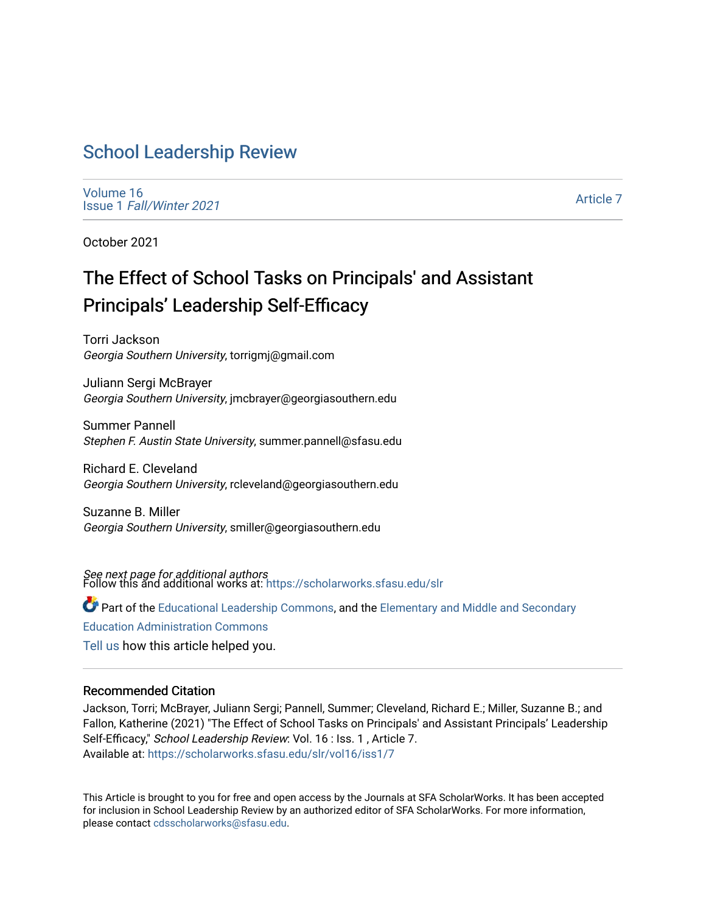# [School Leadership Review](https://scholarworks.sfasu.edu/slr)

[Volume 16](https://scholarworks.sfasu.edu/slr/vol16) Issue 1 [Fall/Winter 2021](https://scholarworks.sfasu.edu/slr/vol16/iss1) 

[Article 7](https://scholarworks.sfasu.edu/slr/vol16/iss1/7) 

October 2021

# The Effect of School Tasks on Principals' and Assistant Principals' Leadership Self-Efficacy

Torri Jackson Georgia Southern University, torrigmj@gmail.com

Juliann Sergi McBrayer Georgia Southern University, jmcbrayer@georgiasouthern.edu

Summer Pannell Stephen F. Austin State University, summer.pannell@sfasu.edu

Richard E. Cleveland Georgia Southern University, rcleveland@georgiasouthern.edu

Suzanne B. Miller Georgia Southern University, smiller@georgiasouthern.edu

*See next page for additional authors*<br>Follow this and additional works at: https://scholarworks.sfasu.edu/slr

Part of the [Educational Leadership Commons,](http://network.bepress.com/hgg/discipline/1230?utm_source=scholarworks.sfasu.edu%2Fslr%2Fvol16%2Fiss1%2F7&utm_medium=PDF&utm_campaign=PDFCoverPages) and the [Elementary and Middle and Secondary](http://network.bepress.com/hgg/discipline/790?utm_source=scholarworks.sfasu.edu%2Fslr%2Fvol16%2Fiss1%2F7&utm_medium=PDF&utm_campaign=PDFCoverPages) 

[Education Administration Commons](http://network.bepress.com/hgg/discipline/790?utm_source=scholarworks.sfasu.edu%2Fslr%2Fvol16%2Fiss1%2F7&utm_medium=PDF&utm_campaign=PDFCoverPages) 

[Tell us](http://sfasu.qualtrics.com/SE/?SID=SV_0qS6tdXftDLradv) how this article helped you.

#### Recommended Citation

Jackson, Torri; McBrayer, Juliann Sergi; Pannell, Summer; Cleveland, Richard E.; Miller, Suzanne B.; and Fallon, Katherine (2021) "The Effect of School Tasks on Principals' and Assistant Principals' Leadership Self-Efficacy," School Leadership Review: Vol. 16 : Iss. 1, Article 7. Available at: [https://scholarworks.sfasu.edu/slr/vol16/iss1/7](https://scholarworks.sfasu.edu/slr/vol16/iss1/7?utm_source=scholarworks.sfasu.edu%2Fslr%2Fvol16%2Fiss1%2F7&utm_medium=PDF&utm_campaign=PDFCoverPages)

This Article is brought to you for free and open access by the Journals at SFA ScholarWorks. It has been accepted for inclusion in School Leadership Review by an authorized editor of SFA ScholarWorks. For more information, please contact [cdsscholarworks@sfasu.edu.](mailto:cdsscholarworks@sfasu.edu)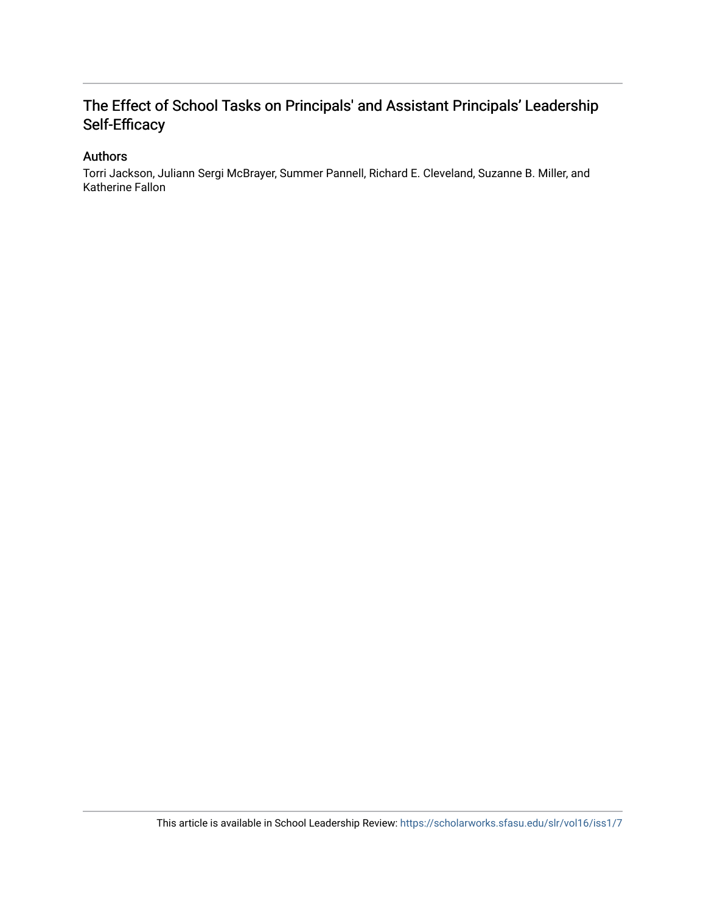# The Effect of School Tasks on Principals' and Assistant Principals' Leadership Self-Efficacy

# Authors

Torri Jackson, Juliann Sergi McBrayer, Summer Pannell, Richard E. Cleveland, Suzanne B. Miller, and Katherine Fallon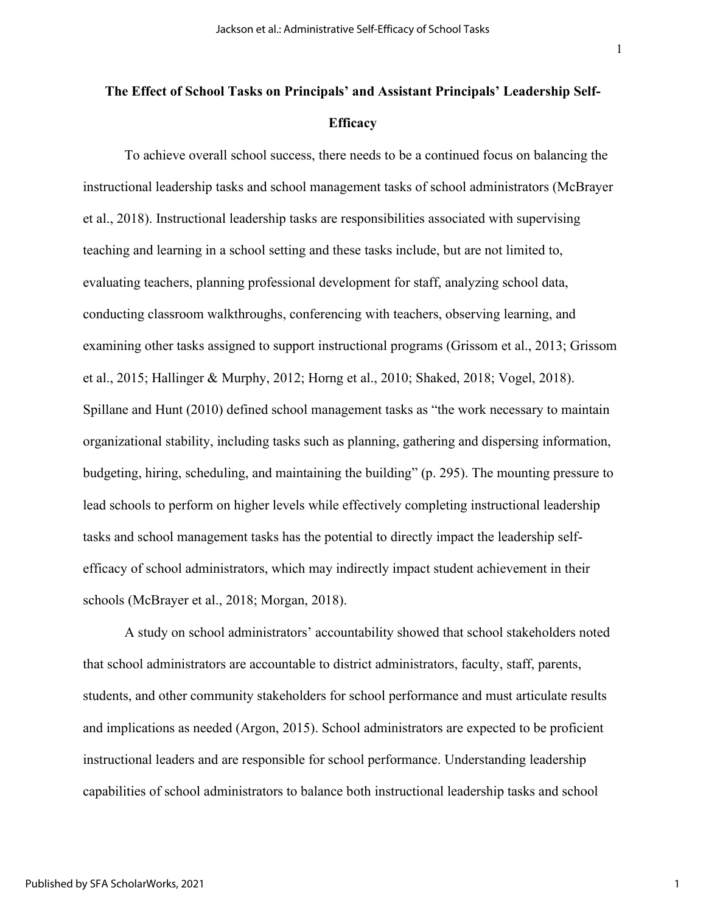# **The Effect of School Tasks on Principals' and Assistant Principals' Leadership Self-Efficacy**

To achieve overall school success, there needs to be a continued focus on balancing the instructional leadership tasks and school management tasks of school administrators (McBrayer et al., 2018). Instructional leadership tasks are responsibilities associated with supervising teaching and learning in a school setting and these tasks include, but are not limited to, evaluating teachers, planning professional development for staff, analyzing school data, conducting classroom walkthroughs, conferencing with teachers, observing learning, and examining other tasks assigned to support instructional programs (Grissom et al., 2013; Grissom et al., 2015; Hallinger & Murphy, 2012; Horng et al., 2010; Shaked, 2018; Vogel, 2018). Spillane and Hunt (2010) defined school management tasks as "the work necessary to maintain organizational stability, including tasks such as planning, gathering and dispersing information, budgeting, hiring, scheduling, and maintaining the building" (p. 295). The mounting pressure to lead schools to perform on higher levels while effectively completing instructional leadership tasks and school management tasks has the potential to directly impact the leadership selfefficacy of school administrators, which may indirectly impact student achievement in their schools (McBrayer et al., 2018; Morgan, 2018).

A study on school administrators' accountability showed that school stakeholders noted that school administrators are accountable to district administrators, faculty, staff, parents, students, and other community stakeholders for school performance and must articulate results and implications as needed (Argon, 2015). School administrators are expected to be proficient instructional leaders and are responsible for school performance. Understanding leadership capabilities of school administrators to balance both instructional leadership tasks and school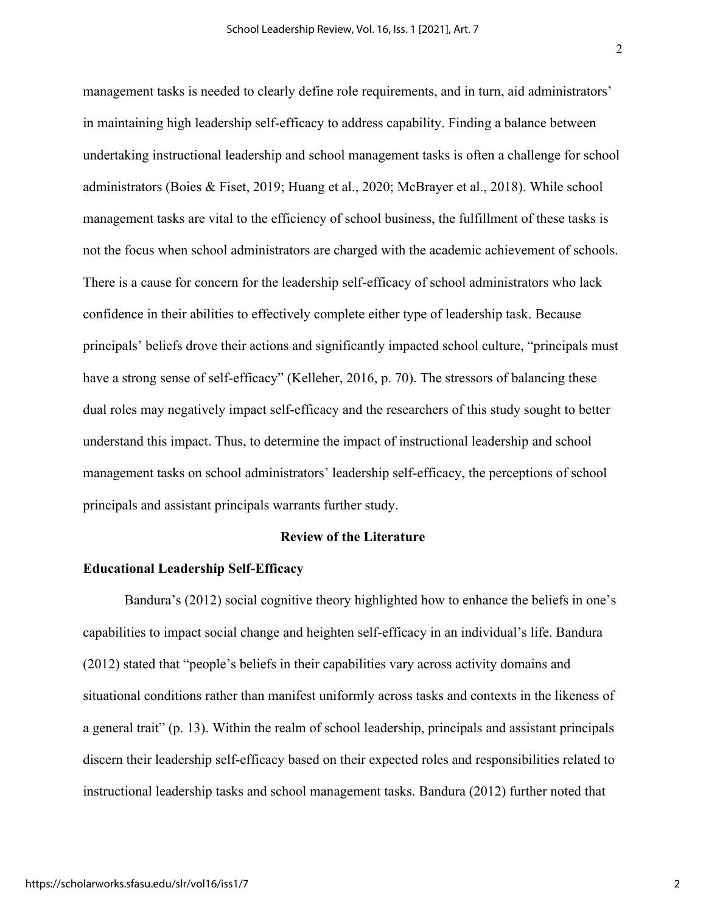management tasks is needed to clearly define role requirements, and in turn, aid administrators' in maintaining high leadership self-efficacy to address capability. Finding a balance between undertaking instructional leadership and school management tasks is often a challenge for school administrators (Boies & Fiset, 2019; Huang et al., 2020; McBrayer et al., 2018). While school management tasks are vital to the efficiency of school business, the fulfillment of these tasks is not the focus when school administrators are charged with the academic achievement of schools. There is a cause for concern for the leadership self-efficacy of school administrators who lack confidence in their abilities to effectively complete either type of leadership task. Because principals' beliefs drove their actions and significantly impacted school culture, "principals must have a strong sense of self-efficacy" (Kelleher, 2016, p. 70). The stressors of balancing these dual roles may negatively impact self-efficacy and the researchers of this study sought to better understand this impact. Thus, to determine the impact of instructional leadership and school management tasks on school administrators' leadership self-efficacy, the perceptions of school principals and assistant principals warrants further study.

### **Review of the Literature**

#### **Educational Leadership Self-Efficacy**

Bandura's (2012) social cognitive theory highlighted how to enhance the beliefs in one's capabilities to impact social change and heighten self-efficacy in an individual's life. Bandura (2012) stated that "people's beliefs in their capabilities vary across activity domains and situational conditions rather than manifest uniformly across tasks and contexts in the likeness of a general trait" (p. 13). Within the realm of school leadership, principals and assistant principals discern their leadership self-efficacy based on their expected roles and responsibilities related to instructional leadership tasks and school management tasks. Bandura (2012) further noted that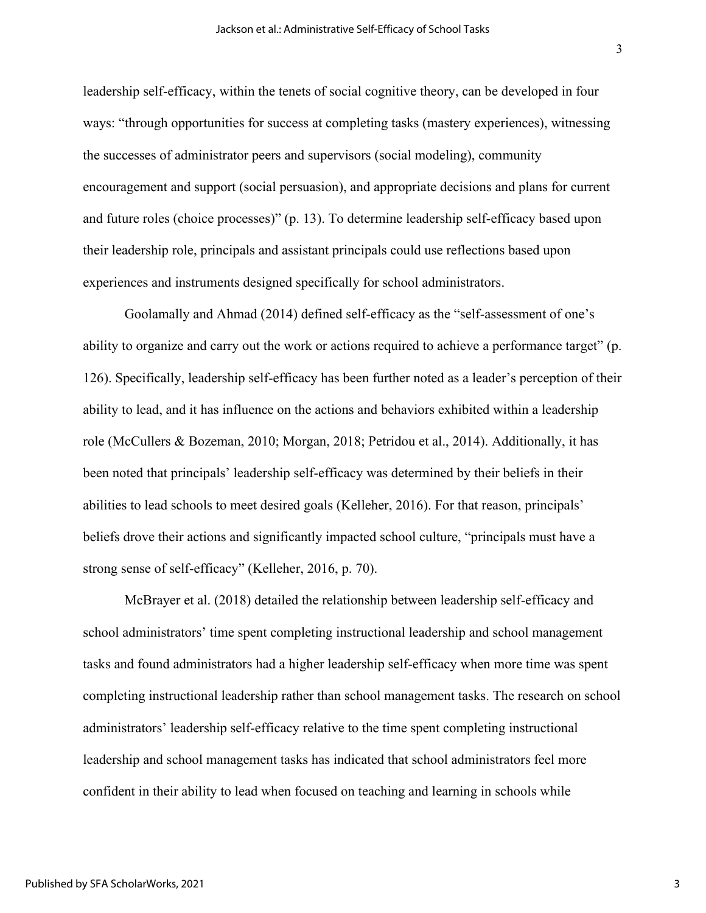leadership self-efficacy, within the tenets of social cognitive theory, can be developed in four ways: "through opportunities for success at completing tasks (mastery experiences), witnessing the successes of administrator peers and supervisors (social modeling), community encouragement and support (social persuasion), and appropriate decisions and plans for current and future roles (choice processes)" (p. 13). To determine leadership self-efficacy based upon their leadership role, principals and assistant principals could use reflections based upon experiences and instruments designed specifically for school administrators.

Goolamally and Ahmad (2014) defined self-efficacy as the "self-assessment of one's ability to organize and carry out the work or actions required to achieve a performance target" (p. 126). Specifically, leadership self-efficacy has been further noted as a leader's perception of their ability to lead, and it has influence on the actions and behaviors exhibited within a leadership role (McCullers & Bozeman, 2010; Morgan, 2018; Petridou et al., 2014). Additionally, it has been noted that principals' leadership self-efficacy was determined by their beliefs in their abilities to lead schools to meet desired goals (Kelleher, 2016). For that reason, principals' beliefs drove their actions and significantly impacted school culture, "principals must have a strong sense of self-efficacy" (Kelleher, 2016, p. 70).

McBrayer et al. (2018) detailed the relationship between leadership self-efficacy and school administrators' time spent completing instructional leadership and school management tasks and found administrators had a higher leadership self-efficacy when more time was spent completing instructional leadership rather than school management tasks. The research on school administrators' leadership self-efficacy relative to the time spent completing instructional leadership and school management tasks has indicated that school administrators feel more confident in their ability to lead when focused on teaching and learning in schools while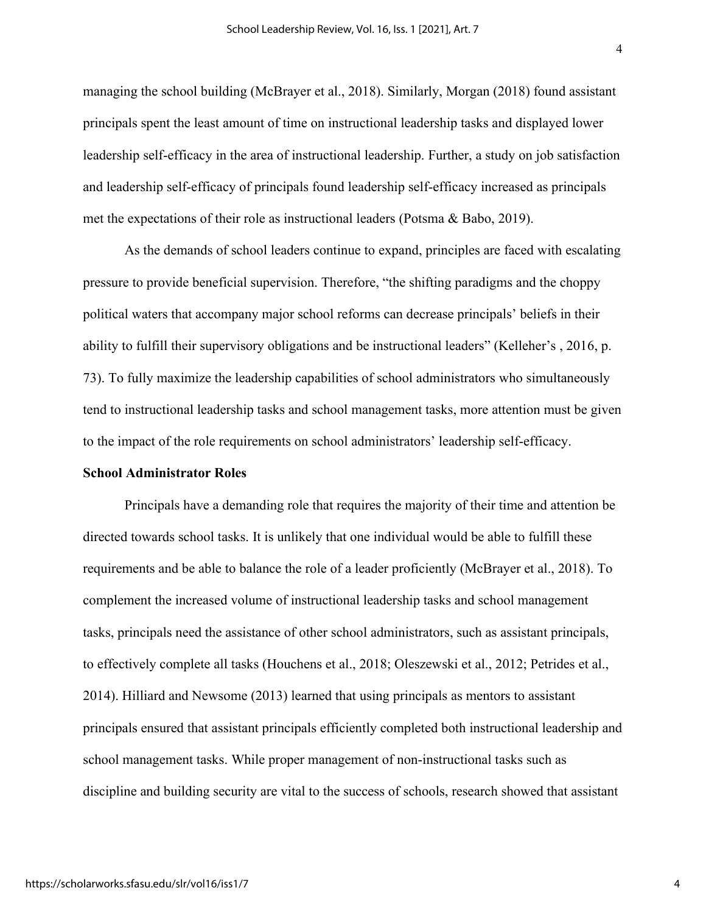managing the school building (McBrayer et al., 2018). Similarly, Morgan (2018) found assistant principals spent the least amount of time on instructional leadership tasks and displayed lower leadership self-efficacy in the area of instructional leadership. Further, a study on job satisfaction and leadership self-efficacy of principals found leadership self-efficacy increased as principals met the expectations of their role as instructional leaders (Potsma & Babo, 2019).

As the demands of school leaders continue to expand, principles are faced with escalating pressure to provide beneficial supervision. Therefore, "the shifting paradigms and the choppy political waters that accompany major school reforms can decrease principals' beliefs in their ability to fulfill their supervisory obligations and be instructional leaders" (Kelleher's , 2016, p. 73). To fully maximize the leadership capabilities of school administrators who simultaneously tend to instructional leadership tasks and school management tasks, more attention must be given to the impact of the role requirements on school administrators' leadership self-efficacy.

#### **School Administrator Roles**

Principals have a demanding role that requires the majority of their time and attention be directed towards school tasks. It is unlikely that one individual would be able to fulfill these requirements and be able to balance the role of a leader proficiently (McBrayer et al., 2018). To complement the increased volume of instructional leadership tasks and school management tasks, principals need the assistance of other school administrators, such as assistant principals, to effectively complete all tasks (Houchens et al., 2018; Oleszewski et al., 2012; Petrides et al., 2014). Hilliard and Newsome (2013) learned that using principals as mentors to assistant principals ensured that assistant principals efficiently completed both instructional leadership and school management tasks. While proper management of non-instructional tasks such as discipline and building security are vital to the success of schools, research showed that assistant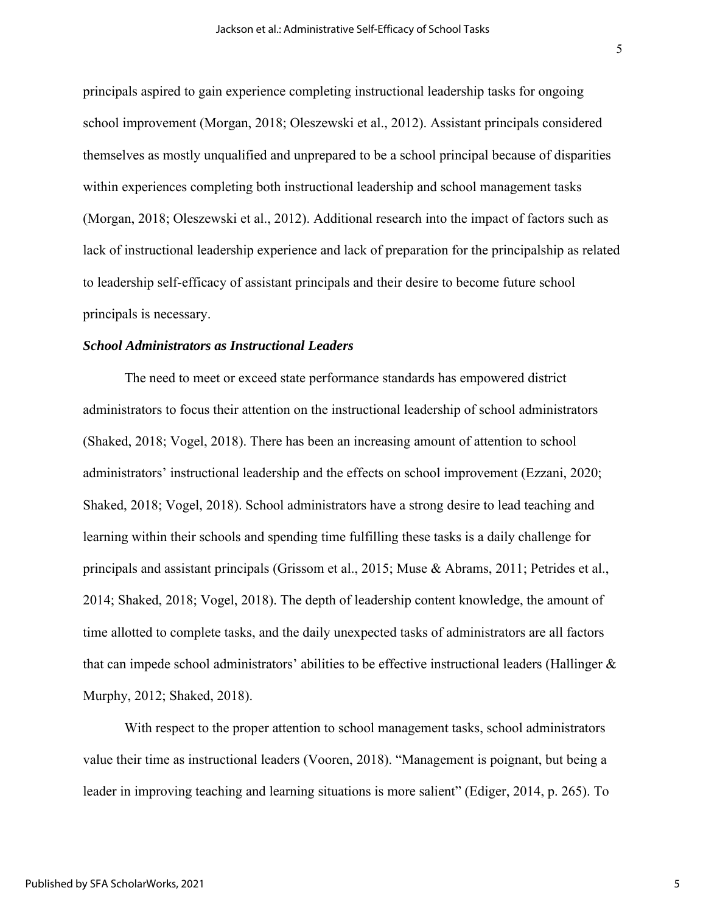principals aspired to gain experience completing instructional leadership tasks for ongoing school improvement (Morgan, 2018; Oleszewski et al., 2012). Assistant principals considered themselves as mostly unqualified and unprepared to be a school principal because of disparities within experiences completing both instructional leadership and school management tasks (Morgan, 2018; Oleszewski et al., 2012). Additional research into the impact of factors such as lack of instructional leadership experience and lack of preparation for the principalship as related to leadership self-efficacy of assistant principals and their desire to become future school principals is necessary.

#### *School Administrators as Instructional Leaders*

The need to meet or exceed state performance standards has empowered district administrators to focus their attention on the instructional leadership of school administrators (Shaked, 2018; Vogel, 2018). There has been an increasing amount of attention to school administrators' instructional leadership and the effects on school improvement (Ezzani, 2020; Shaked, 2018; Vogel, 2018). School administrators have a strong desire to lead teaching and learning within their schools and spending time fulfilling these tasks is a daily challenge for principals and assistant principals (Grissom et al., 2015; Muse & Abrams, 2011; Petrides et al., 2014; Shaked, 2018; Vogel, 2018). The depth of leadership content knowledge, the amount of time allotted to complete tasks, and the daily unexpected tasks of administrators are all factors that can impede school administrators' abilities to be effective instructional leaders (Hallinger  $\&$ Murphy, 2012; Shaked, 2018).

With respect to the proper attention to school management tasks, school administrators value their time as instructional leaders (Vooren, 2018). "Management is poignant, but being a leader in improving teaching and learning situations is more salient" (Ediger, 2014, p. 265). To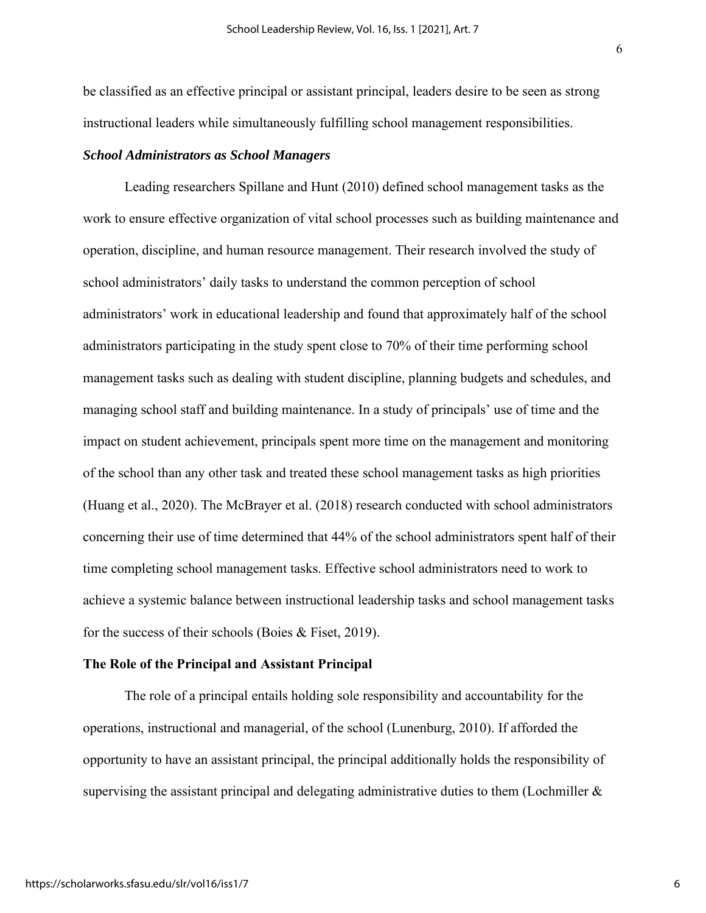be classified as an effective principal or assistant principal, leaders desire to be seen as strong instructional leaders while simultaneously fulfilling school management responsibilities.

#### *School Administrators as School Managers*

Leading researchers Spillane and Hunt (2010) defined school management tasks as the work to ensure effective organization of vital school processes such as building maintenance and operation, discipline, and human resource management. Their research involved the study of school administrators' daily tasks to understand the common perception of school administrators' work in educational leadership and found that approximately half of the school administrators participating in the study spent close to 70% of their time performing school management tasks such as dealing with student discipline, planning budgets and schedules, and managing school staff and building maintenance. In a study of principals' use of time and the impact on student achievement, principals spent more time on the management and monitoring of the school than any other task and treated these school management tasks as high priorities (Huang et al., 2020). The McBrayer et al. (2018) research conducted with school administrators concerning their use of time determined that 44% of the school administrators spent half of their time completing school management tasks. Effective school administrators need to work to achieve a systemic balance between instructional leadership tasks and school management tasks for the success of their schools (Boies & Fiset, 2019).

#### **The Role of the Principal and Assistant Principal**

The role of a principal entails holding sole responsibility and accountability for the operations, instructional and managerial, of the school (Lunenburg, 2010). If afforded the opportunity to have an assistant principal, the principal additionally holds the responsibility of supervising the assistant principal and delegating administrative duties to them (Lochmiller  $\&$ 

6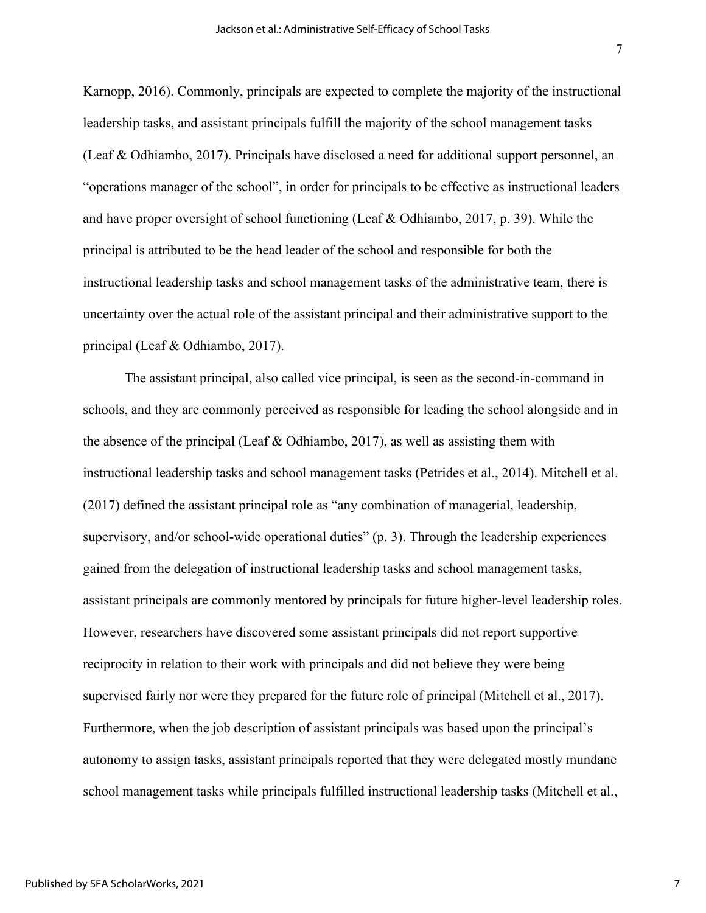Karnopp, 2016). Commonly, principals are expected to complete the majority of the instructional leadership tasks, and assistant principals fulfill the majority of the school management tasks (Leaf & Odhiambo, 2017). Principals have disclosed a need for additional support personnel, an "operations manager of the school", in order for principals to be effective as instructional leaders and have proper oversight of school functioning (Leaf & Odhiambo, 2017, p. 39). While the principal is attributed to be the head leader of the school and responsible for both the instructional leadership tasks and school management tasks of the administrative team, there is uncertainty over the actual role of the assistant principal and their administrative support to the principal (Leaf & Odhiambo, 2017).

The assistant principal, also called vice principal, is seen as the second-in-command in schools, and they are commonly perceived as responsible for leading the school alongside and in the absence of the principal (Leaf & Odhiambo, 2017), as well as assisting them with instructional leadership tasks and school management tasks (Petrides et al., 2014). Mitchell et al. (2017) defined the assistant principal role as "any combination of managerial, leadership, supervisory, and/or school-wide operational duties" (p. 3). Through the leadership experiences gained from the delegation of instructional leadership tasks and school management tasks, assistant principals are commonly mentored by principals for future higher-level leadership roles. However, researchers have discovered some assistant principals did not report supportive reciprocity in relation to their work with principals and did not believe they were being supervised fairly nor were they prepared for the future role of principal (Mitchell et al., 2017). Furthermore, when the job description of assistant principals was based upon the principal's autonomy to assign tasks, assistant principals reported that they were delegated mostly mundane school management tasks while principals fulfilled instructional leadership tasks (Mitchell et al.,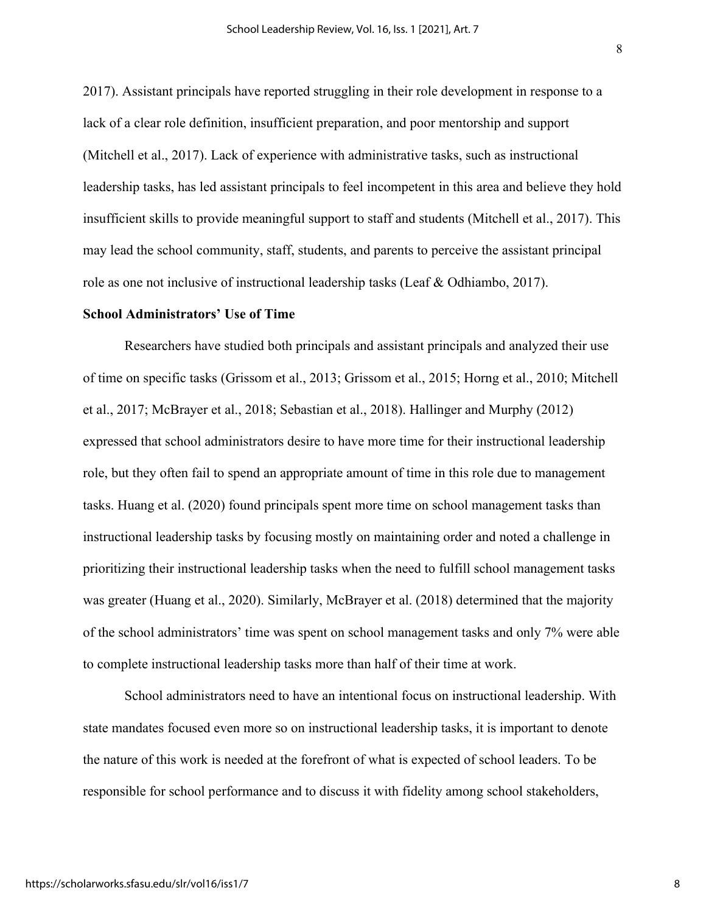2017). Assistant principals have reported struggling in their role development in response to a lack of a clear role definition, insufficient preparation, and poor mentorship and support (Mitchell et al., 2017). Lack of experience with administrative tasks, such as instructional leadership tasks, has led assistant principals to feel incompetent in this area and believe they hold insufficient skills to provide meaningful support to staff and students (Mitchell et al., 2017). This may lead the school community, staff, students, and parents to perceive the assistant principal role as one not inclusive of instructional leadership tasks (Leaf & Odhiambo, 2017).

#### **School Administrators' Use of Time**

Researchers have studied both principals and assistant principals and analyzed their use of time on specific tasks (Grissom et al., 2013; Grissom et al., 2015; Horng et al., 2010; Mitchell et al., 2017; McBrayer et al., 2018; Sebastian et al., 2018). Hallinger and Murphy (2012) expressed that school administrators desire to have more time for their instructional leadership role, but they often fail to spend an appropriate amount of time in this role due to management tasks. Huang et al. (2020) found principals spent more time on school management tasks than instructional leadership tasks by focusing mostly on maintaining order and noted a challenge in prioritizing their instructional leadership tasks when the need to fulfill school management tasks was greater (Huang et al., 2020). Similarly, McBrayer et al. (2018) determined that the majority of the school administrators' time was spent on school management tasks and only 7% were able to complete instructional leadership tasks more than half of their time at work.

School administrators need to have an intentional focus on instructional leadership. With state mandates focused even more so on instructional leadership tasks, it is important to denote the nature of this work is needed at the forefront of what is expected of school leaders. To be responsible for school performance and to discuss it with fidelity among school stakeholders,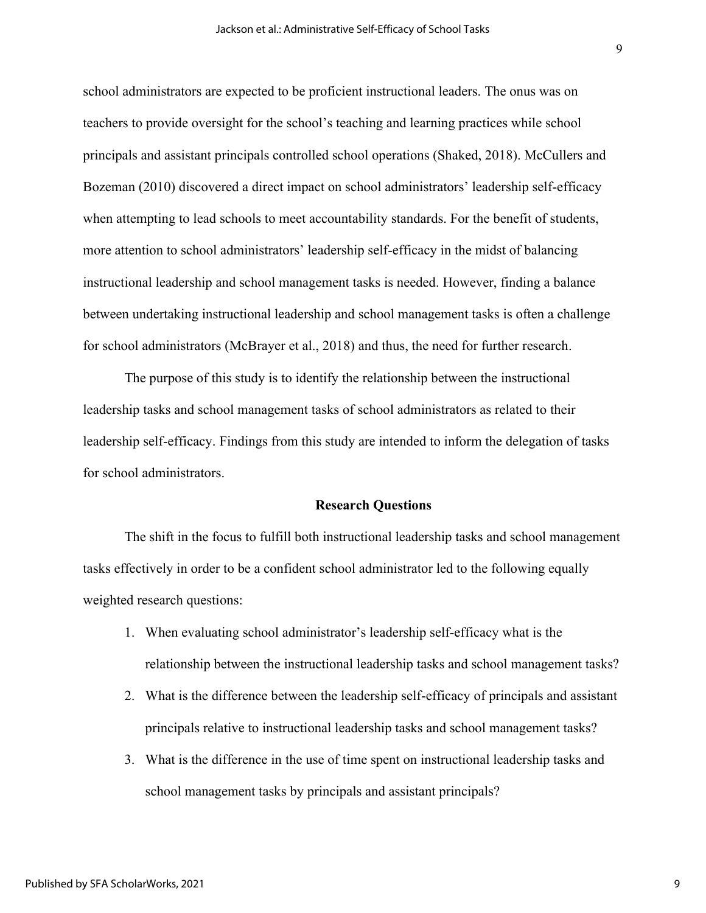school administrators are expected to be proficient instructional leaders. The onus was on teachers to provide oversight for the school's teaching and learning practices while school principals and assistant principals controlled school operations (Shaked, 2018). McCullers and Bozeman (2010) discovered a direct impact on school administrators' leadership self-efficacy when attempting to lead schools to meet accountability standards. For the benefit of students, more attention to school administrators' leadership self-efficacy in the midst of balancing instructional leadership and school management tasks is needed. However, finding a balance between undertaking instructional leadership and school management tasks is often a challenge for school administrators (McBrayer et al., 2018) and thus, the need for further research.

The purpose of this study is to identify the relationship between the instructional leadership tasks and school management tasks of school administrators as related to their leadership self-efficacy. Findings from this study are intended to inform the delegation of tasks for school administrators.

#### **Research Questions**

The shift in the focus to fulfill both instructional leadership tasks and school management tasks effectively in order to be a confident school administrator led to the following equally weighted research questions:

- 1. When evaluating school administrator's leadership self-efficacy what is the relationship between the instructional leadership tasks and school management tasks?
- 2. What is the difference between the leadership self-efficacy of principals and assistant principals relative to instructional leadership tasks and school management tasks?
- 3. What is the difference in the use of time spent on instructional leadership tasks and school management tasks by principals and assistant principals?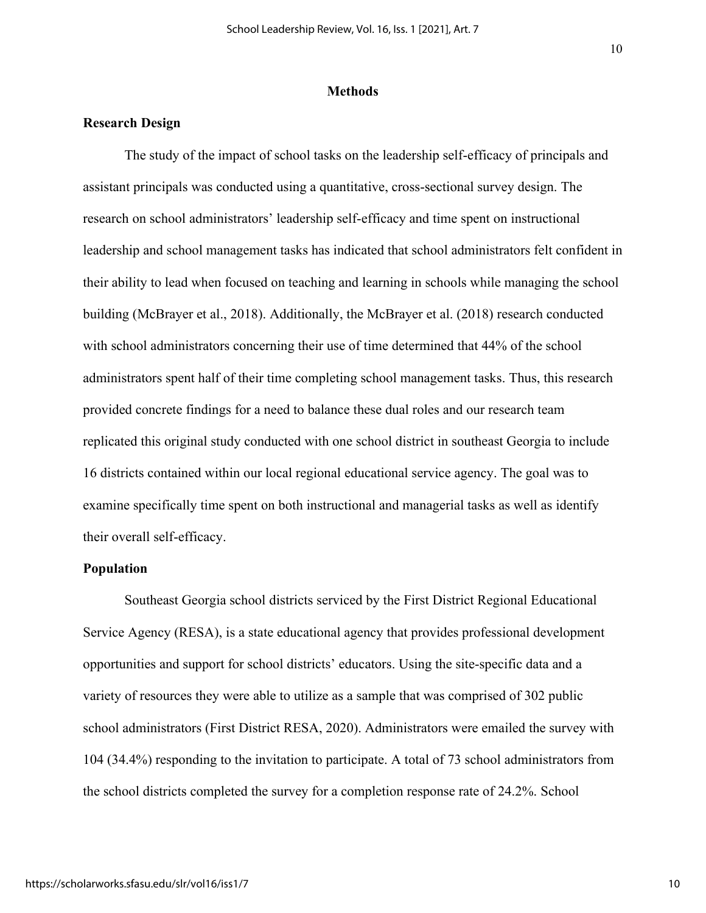#### **Methods**

## **Research Design**

The study of the impact of school tasks on the leadership self-efficacy of principals and assistant principals was conducted using a quantitative, cross-sectional survey design. The research on school administrators' leadership self-efficacy and time spent on instructional leadership and school management tasks has indicated that school administrators felt confident in their ability to lead when focused on teaching and learning in schools while managing the school building (McBrayer et al., 2018). Additionally, the McBrayer et al. (2018) research conducted with school administrators concerning their use of time determined that 44% of the school administrators spent half of their time completing school management tasks. Thus, this research provided concrete findings for a need to balance these dual roles and our research team replicated this original study conducted with one school district in southeast Georgia to include 16 districts contained within our local regional educational service agency. The goal was to examine specifically time spent on both instructional and managerial tasks as well as identify their overall self-efficacy.

#### **Population**

Southeast Georgia school districts serviced by the First District Regional Educational Service Agency (RESA), is a state educational agency that provides professional development opportunities and support for school districts' educators. Using the site-specific data and a variety of resources they were able to utilize as a sample that was comprised of 302 public school administrators (First District RESA, 2020). Administrators were emailed the survey with 104 (34.4%) responding to the invitation to participate. A total of 73 school administrators from the school districts completed the survey for a completion response rate of 24.2%. School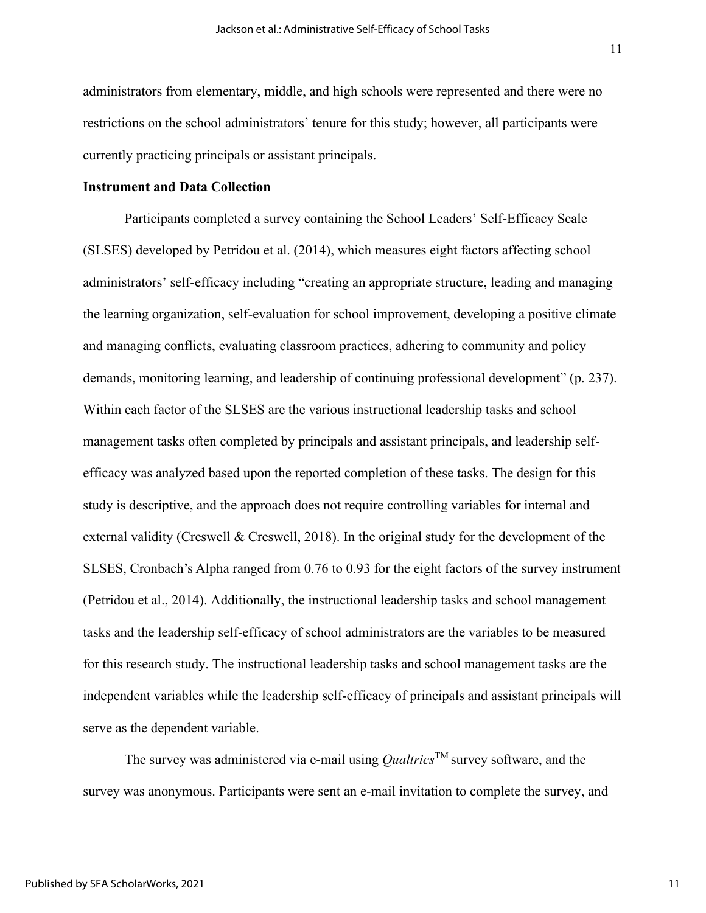administrators from elementary, middle, and high schools were represented and there were no restrictions on the school administrators' tenure for this study; however, all participants were currently practicing principals or assistant principals.

#### **Instrument and Data Collection**

Participants completed a survey containing the School Leaders' Self-Efficacy Scale (SLSES) developed by Petridou et al. (2014), which measures eight factors affecting school administrators' self-efficacy including "creating an appropriate structure, leading and managing the learning organization, self-evaluation for school improvement, developing a positive climate and managing conflicts, evaluating classroom practices, adhering to community and policy demands, monitoring learning, and leadership of continuing professional development" (p. 237). Within each factor of the SLSES are the various instructional leadership tasks and school management tasks often completed by principals and assistant principals, and leadership selfefficacy was analyzed based upon the reported completion of these tasks. The design for this study is descriptive, and the approach does not require controlling variables for internal and external validity (Creswell & Creswell, 2018). In the original study for the development of the SLSES, Cronbach's Alpha ranged from 0.76 to 0.93 for the eight factors of the survey instrument (Petridou et al., 2014). Additionally, the instructional leadership tasks and school management tasks and the leadership self-efficacy of school administrators are the variables to be measured for this research study. The instructional leadership tasks and school management tasks are the independent variables while the leadership self-efficacy of principals and assistant principals will serve as the dependent variable.

The survey was administered via e-mail using  $\Omega$ *ualtrics*<sup>TM</sup> survey software, and the survey was anonymous. Participants were sent an e-mail invitation to complete the survey, and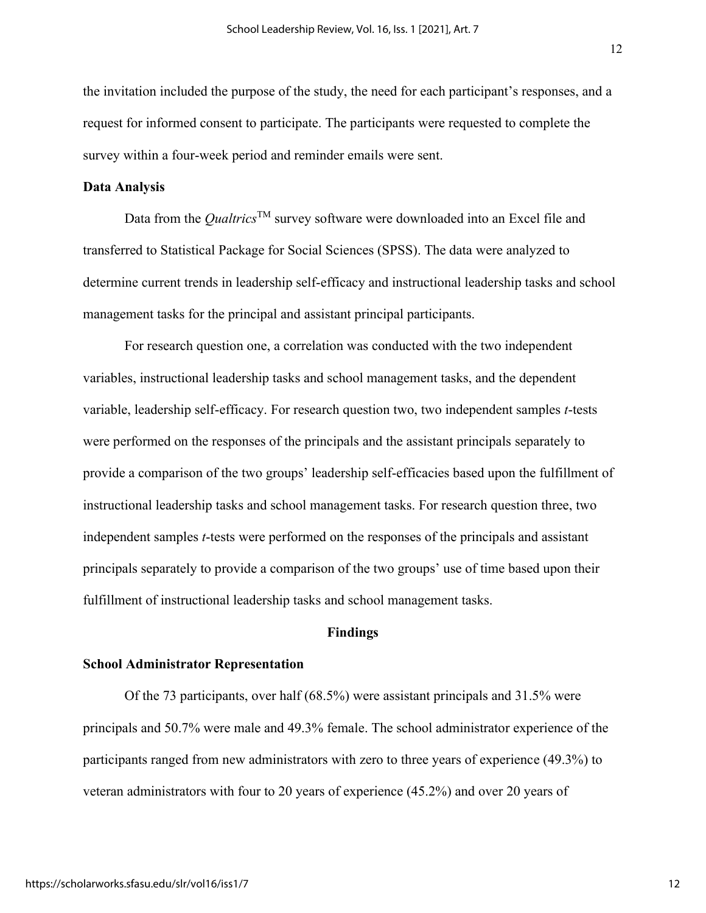the invitation included the purpose of the study, the need for each participant's responses, and a request for informed consent to participate. The participants were requested to complete the survey within a four-week period and reminder emails were sent.

#### **Data Analysis**

Data from the *Qualtrics*TM survey software were downloaded into an Excel file and transferred to Statistical Package for Social Sciences (SPSS). The data were analyzed to determine current trends in leadership self-efficacy and instructional leadership tasks and school management tasks for the principal and assistant principal participants.

For research question one, a correlation was conducted with the two independent variables, instructional leadership tasks and school management tasks, and the dependent variable, leadership self-efficacy. For research question two, two independent samples *t*-tests were performed on the responses of the principals and the assistant principals separately to provide a comparison of the two groups' leadership self-efficacies based upon the fulfillment of instructional leadership tasks and school management tasks. For research question three, two independent samples *t*-tests were performed on the responses of the principals and assistant principals separately to provide a comparison of the two groups' use of time based upon their fulfillment of instructional leadership tasks and school management tasks.

#### **Findings**

#### **School Administrator Representation**

Of the 73 participants, over half (68.5%) were assistant principals and 31.5% were principals and 50.7% were male and 49.3% female. The school administrator experience of the participants ranged from new administrators with zero to three years of experience (49.3%) to veteran administrators with four to 20 years of experience (45.2%) and over 20 years of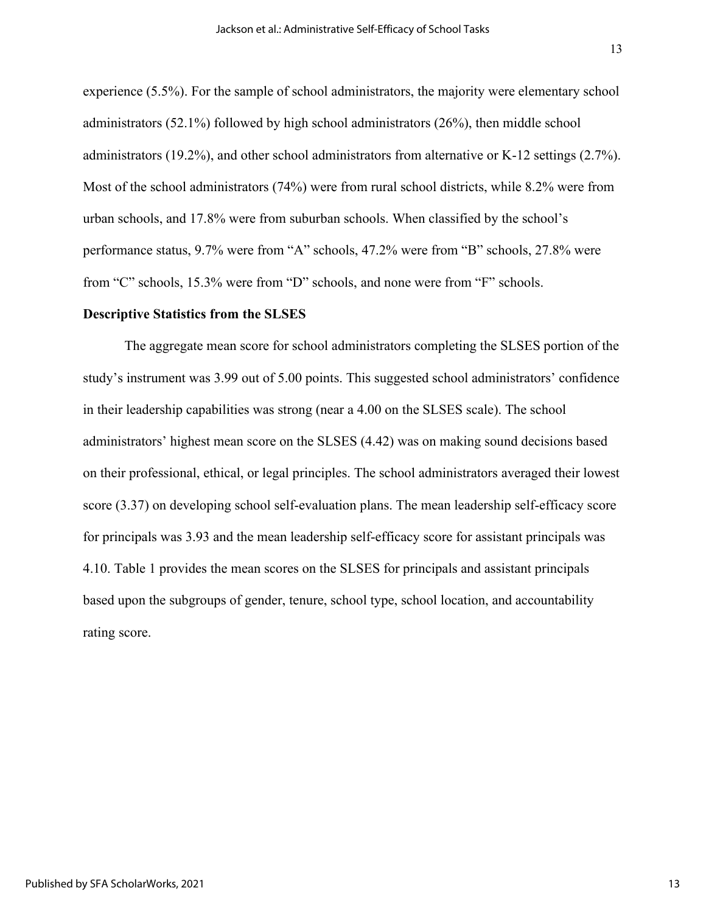experience (5.5%). For the sample of school administrators, the majority were elementary school administrators (52.1%) followed by high school administrators (26%), then middle school administrators (19.2%), and other school administrators from alternative or K-12 settings (2.7%). Most of the school administrators (74%) were from rural school districts, while 8.2% were from urban schools, and 17.8% were from suburban schools. When classified by the school's performance status, 9.7% were from "A" schools, 47.2% were from "B" schools, 27.8% were from "C" schools, 15.3% were from "D" schools, and none were from "F" schools.

#### **Descriptive Statistics from the SLSES**

The aggregate mean score for school administrators completing the SLSES portion of the study's instrument was 3.99 out of 5.00 points. This suggested school administrators' confidence in their leadership capabilities was strong (near a 4.00 on the SLSES scale). The school administrators' highest mean score on the SLSES (4.42) was on making sound decisions based on their professional, ethical, or legal principles. The school administrators averaged their lowest score (3.37) on developing school self-evaluation plans. The mean leadership self-efficacy score for principals was 3.93 and the mean leadership self-efficacy score for assistant principals was 4.10. Table 1 provides the mean scores on the SLSES for principals and assistant principals based upon the subgroups of gender, tenure, school type, school location, and accountability rating score.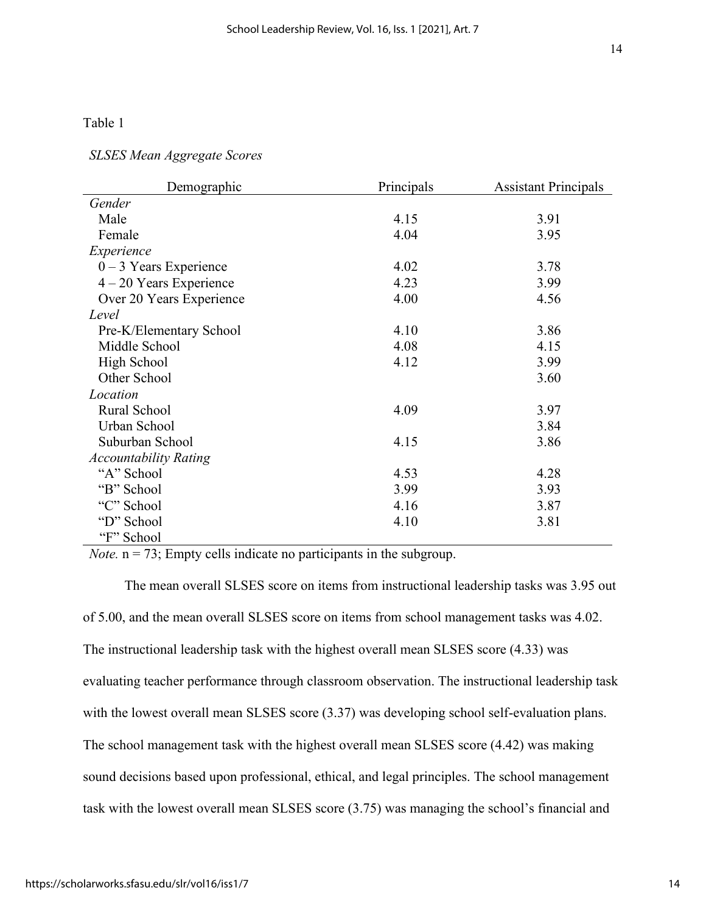# Table 1

## *SLSES Mean Aggregate Scores*

| Demographic                  | Principals | <b>Assistant Principals</b> |
|------------------------------|------------|-----------------------------|
| Gender                       |            |                             |
| Male                         | 4.15       | 3.91                        |
| Female                       | 4.04       | 3.95                        |
| Experience                   |            |                             |
| $0 - 3$ Years Experience     | 4.02       | 3.78                        |
| $4 - 20$ Years Experience    | 4.23       | 3.99                        |
| Over 20 Years Experience     | 4.00       | 4.56                        |
| Level                        |            |                             |
| Pre-K/Elementary School      | 4.10       | 3.86                        |
| Middle School                | 4.08       | 4.15                        |
| High School                  | 4.12       | 3.99                        |
| Other School                 |            | 3.60                        |
| Location                     |            |                             |
| Rural School                 | 4.09       | 3.97                        |
| Urban School                 |            | 3.84                        |
| Suburban School              | 4.15       | 3.86                        |
| <b>Accountability Rating</b> |            |                             |
| "A" School                   | 4.53       | 4.28                        |
| "B" School                   | 3.99       | 3.93                        |
| "C" School                   | 4.16       | 3.87                        |
| "D" School                   | 4.10       | 3.81                        |
| "F" School                   |            |                             |

*Note.*  $n = 73$ ; Empty cells indicate no participants in the subgroup.

The mean overall SLSES score on items from instructional leadership tasks was 3.95 out of 5.00, and the mean overall SLSES score on items from school management tasks was 4.02. The instructional leadership task with the highest overall mean SLSES score (4.33) was evaluating teacher performance through classroom observation. The instructional leadership task with the lowest overall mean SLSES score  $(3.37)$  was developing school self-evaluation plans. The school management task with the highest overall mean SLSES score (4.42) was making sound decisions based upon professional, ethical, and legal principles. The school management task with the lowest overall mean SLSES score (3.75) was managing the school's financial and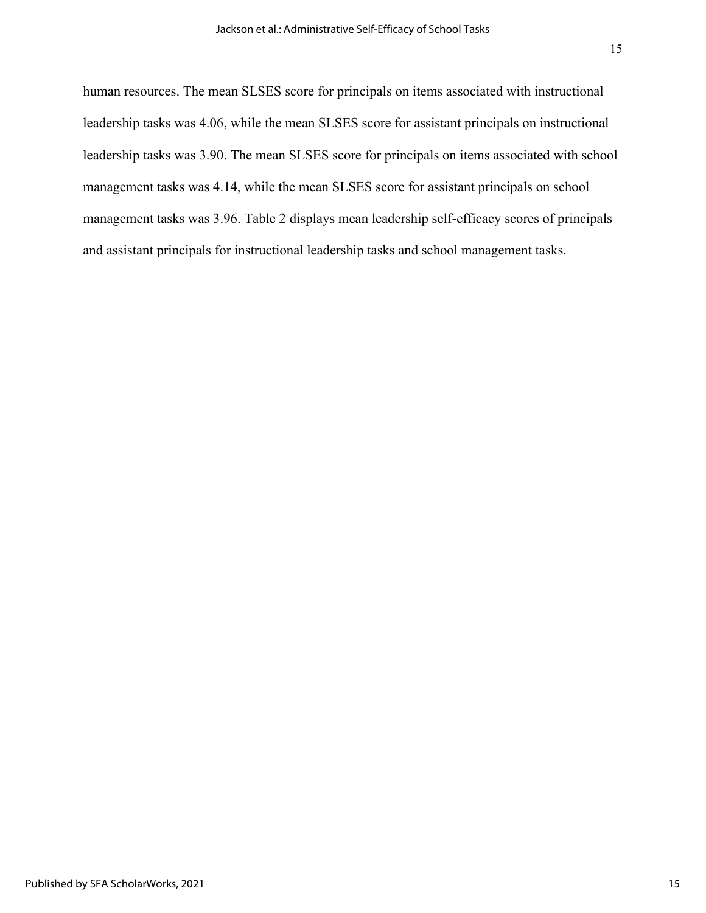human resources. The mean SLSES score for principals on items associated with instructional leadership tasks was 4.06, while the mean SLSES score for assistant principals on instructional leadership tasks was 3.90. The mean SLSES score for principals on items associated with school management tasks was 4.14, while the mean SLSES score for assistant principals on school management tasks was 3.96. Table 2 displays mean leadership self-efficacy scores of principals and assistant principals for instructional leadership tasks and school management tasks.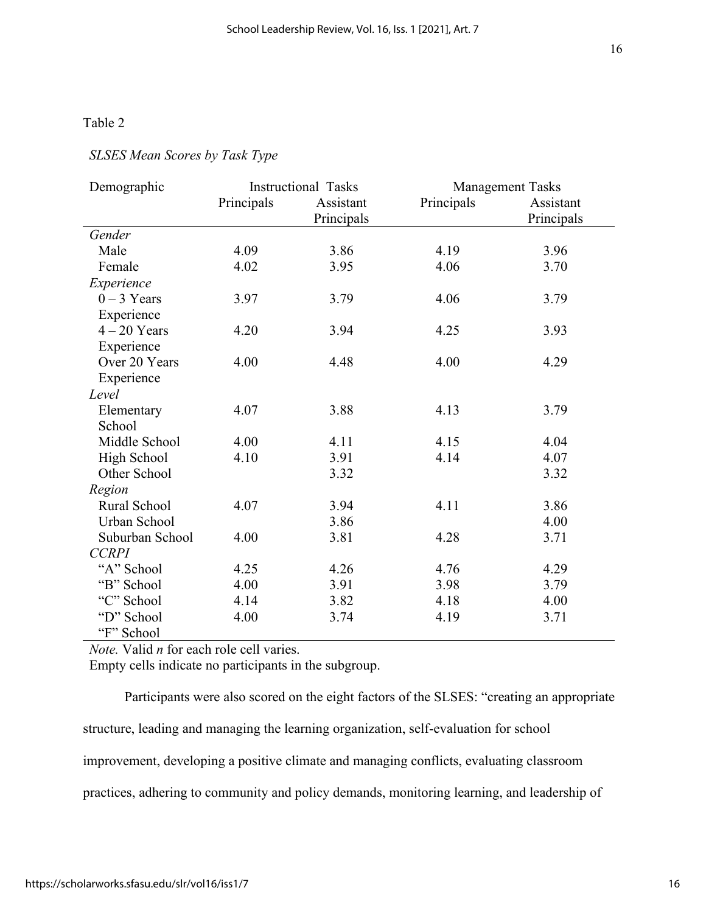# Table 2

### *SLSES Mean Scores by Task Type*

| Demographic     | <b>Instructional Tasks</b> |            | <b>Management Tasks</b> |            |
|-----------------|----------------------------|------------|-------------------------|------------|
|                 | Principals                 | Assistant  | Principals              | Assistant  |
|                 |                            | Principals |                         | Principals |
| Gender          |                            |            |                         |            |
| Male            | 4.09                       | 3.86       | 4.19                    | 3.96       |
| Female          | 4.02                       | 3.95       | 4.06                    | 3.70       |
| Experience      |                            |            |                         |            |
| $0 - 3$ Years   | 3.97                       | 3.79       | 4.06                    | 3.79       |
| Experience      |                            |            |                         |            |
| $4 - 20$ Years  | 4.20                       | 3.94       | 4.25                    | 3.93       |
| Experience      |                            |            |                         |            |
| Over 20 Years   | 4.00                       | 4.48       | 4.00                    | 4.29       |
| Experience      |                            |            |                         |            |
| Level           |                            |            |                         |            |
| Elementary      | 4.07                       | 3.88       | 4.13                    | 3.79       |
| School          |                            |            |                         |            |
| Middle School   | 4.00                       | 4.11       | 4.15                    | 4.04       |
| High School     | 4.10                       | 3.91       | 4.14                    | 4.07       |
| Other School    |                            | 3.32       |                         | 3.32       |
| Region          |                            |            |                         |            |
| Rural School    | 4.07                       | 3.94       | 4.11                    | 3.86       |
| Urban School    |                            | 3.86       |                         | 4.00       |
| Suburban School | 4.00                       | 3.81       | 4.28                    | 3.71       |
| <b>CCRPI</b>    |                            |            |                         |            |
| "A" School      | 4.25                       | 4.26       | 4.76                    | 4.29       |
| "B" School      | 4.00                       | 3.91       | 3.98                    | 3.79       |
| "C" School      | 4.14                       | 3.82       | 4.18                    | 4.00       |
| "D" School      | 4.00                       | 3.74       | 4.19                    | 3.71       |
| "F" School      |                            |            |                         |            |

*Note.* Valid *n* for each role cell varies.

Empty cells indicate no participants in the subgroup.

Participants were also scored on the eight factors of the SLSES: "creating an appropriate structure, leading and managing the learning organization, self-evaluation for school improvement, developing a positive climate and managing conflicts, evaluating classroom practices, adhering to community and policy demands, monitoring learning, and leadership of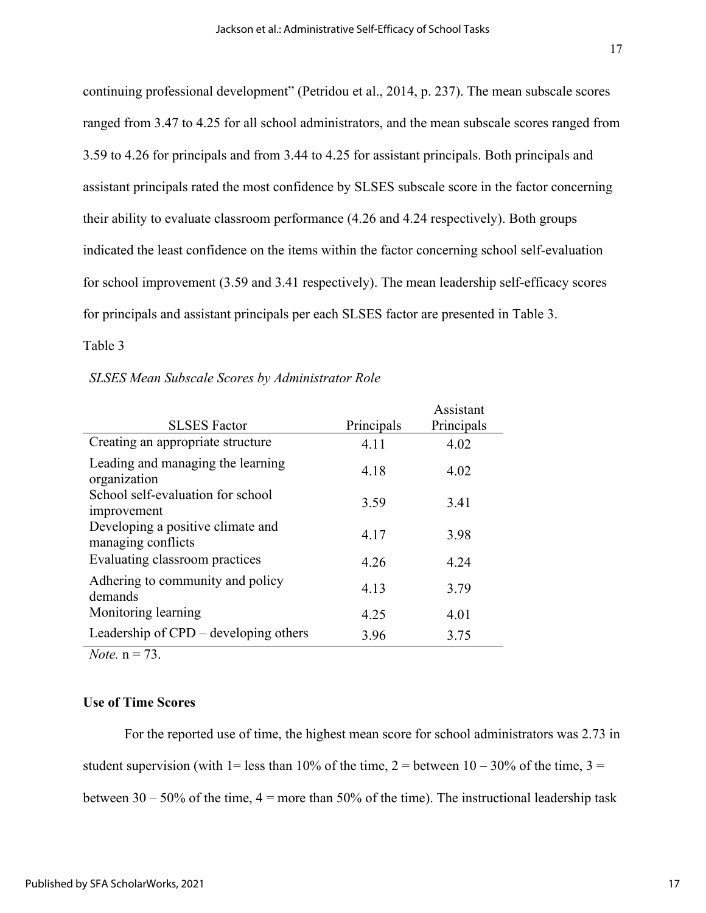continuing professional development" (Petridou et al., 2014, p. 237). The mean subscale scores ranged from 3.47 to 4.25 for all school administrators, and the mean subscale scores ranged from 3.59 to 4.26 for principals and from 3.44 to 4.25 for assistant principals. Both principals and assistant principals rated the most confidence by SLSES subscale score in the factor concerning their ability to evaluate classroom performance (4.26 and 4.24 respectively). Both groups indicated the least confidence on the items within the factor concerning school self-evaluation for school improvement (3.59 and 3.41 respectively). The mean leadership self-efficacy scores for principals and assistant principals per each SLSES factor are presented in Table 3.

## Table 3

#### *SLSES Mean Subscale Scores by Administrator Role*

| <b>SLSES</b> Factor                                     | Principals | Assistant<br>Principals |
|---------------------------------------------------------|------------|-------------------------|
| Creating an appropriate structure                       | 4.11       | 4.02                    |
| Leading and managing the learning<br>organization       | 4.18       | 4.02                    |
| School self-evaluation for school<br>improvement        | 3.59       | 3.41                    |
| Developing a positive climate and<br>managing conflicts | 4.17       | 3.98                    |
| Evaluating classroom practices                          | 4.26       | 4.24                    |
| Adhering to community and policy<br>demands             | 4.13       | 3.79                    |
| Monitoring learning                                     | 4.25       | 4.01                    |
| Leadership of CPD – developing others                   | 3.96       | 3.75                    |

*Note.* n = 73.

#### **Use of Time Scores**

For the reported use of time, the highest mean score for school administrators was 2.73 in student supervision (with 1= less than 10% of the time, 2 = between 10 – 30% of the time, 3 = between  $30 - 50\%$  of the time,  $4 =$  more than  $50\%$  of the time). The instructional leadership task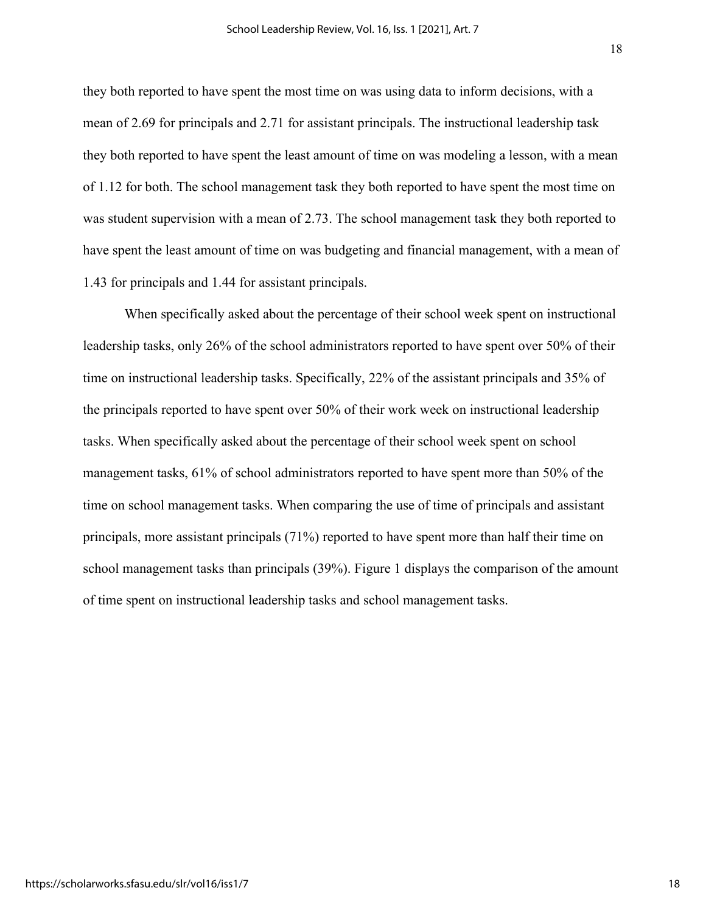they both reported to have spent the most time on was using data to inform decisions, with a mean of 2.69 for principals and 2.71 for assistant principals. The instructional leadership task they both reported to have spent the least amount of time on was modeling a lesson, with a mean of 1.12 for both. The school management task they both reported to have spent the most time on was student supervision with a mean of 2.73. The school management task they both reported to have spent the least amount of time on was budgeting and financial management, with a mean of 1.43 for principals and 1.44 for assistant principals.

When specifically asked about the percentage of their school week spent on instructional leadership tasks, only 26% of the school administrators reported to have spent over 50% of their time on instructional leadership tasks. Specifically, 22% of the assistant principals and 35% of the principals reported to have spent over 50% of their work week on instructional leadership tasks. When specifically asked about the percentage of their school week spent on school management tasks, 61% of school administrators reported to have spent more than 50% of the time on school management tasks. When comparing the use of time of principals and assistant principals, more assistant principals (71%) reported to have spent more than half their time on school management tasks than principals (39%). Figure 1 displays the comparison of the amount of time spent on instructional leadership tasks and school management tasks.

18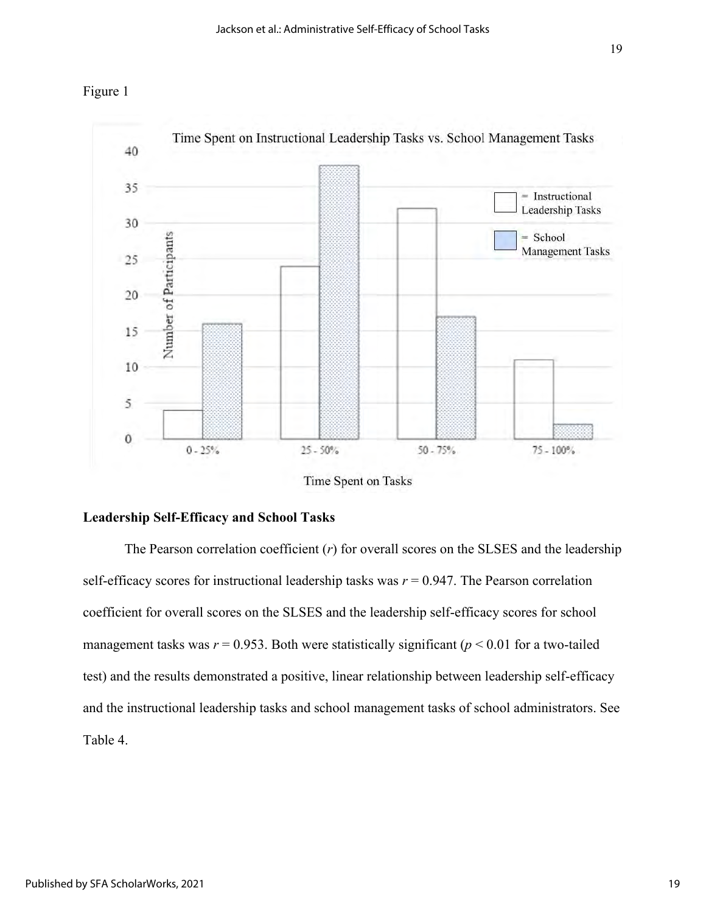



Time Spent on Tasks

#### **Leadership Self-Efficacy and School Tasks**

The Pearson correlation coefficient (*r*) for overall scores on the SLSES and the leadership self-efficacy scores for instructional leadership tasks was  $r = 0.947$ . The Pearson correlation coefficient for overall scores on the SLSES and the leadership self-efficacy scores for school management tasks was  $r = 0.953$ . Both were statistically significant ( $p < 0.01$  for a two-tailed test) and the results demonstrated a positive, linear relationship between leadership self-efficacy and the instructional leadership tasks and school management tasks of school administrators. See Table 4.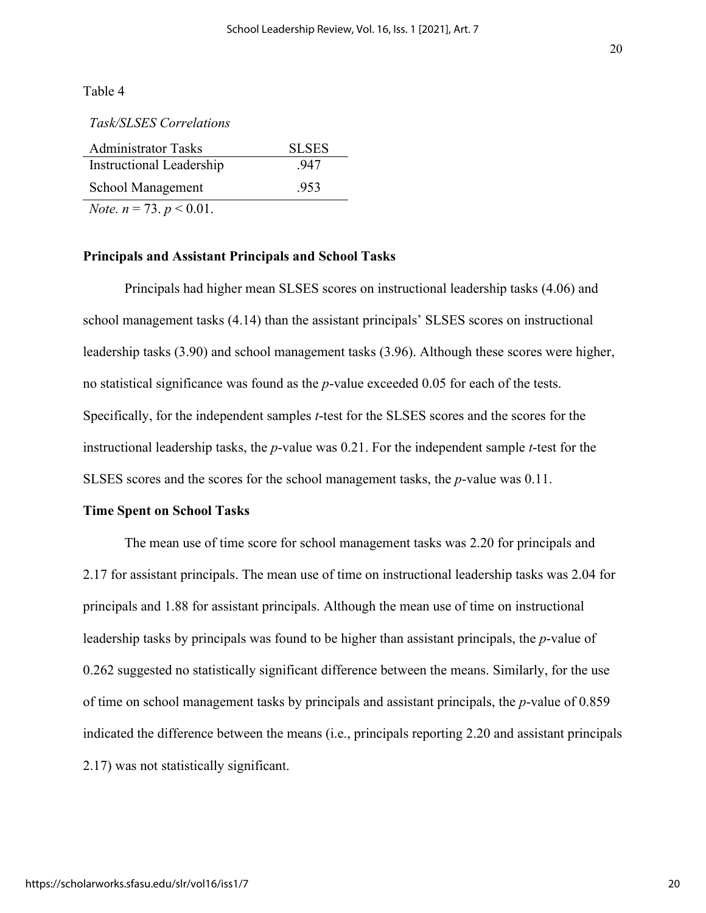Table 4

*Task/SLSES Correlations*

| <b>Administrator Tasks</b>           | <b>SLSES</b> |
|--------------------------------------|--------------|
| Instructional Leadership             | -947         |
| School Management                    | .953         |
| <i>Note.</i> $n = 73$ . $p < 0.01$ . |              |

#### **Principals and Assistant Principals and School Tasks**

Principals had higher mean SLSES scores on instructional leadership tasks (4.06) and school management tasks (4.14) than the assistant principals' SLSES scores on instructional leadership tasks (3.90) and school management tasks (3.96). Although these scores were higher, no statistical significance was found as the *p*-value exceeded 0.05 for each of the tests. Specifically, for the independent samples *t*-test for the SLSES scores and the scores for the instructional leadership tasks, the *p*-value was 0.21. For the independent sample *t*-test for the SLSES scores and the scores for the school management tasks, the *p*-value was 0.11.

#### **Time Spent on School Tasks**

The mean use of time score for school management tasks was 2.20 for principals and 2.17 for assistant principals. The mean use of time on instructional leadership tasks was 2.04 for principals and 1.88 for assistant principals. Although the mean use of time on instructional leadership tasks by principals was found to be higher than assistant principals, the *p*-value of 0.262 suggested no statistically significant difference between the means. Similarly, for the use of time on school management tasks by principals and assistant principals, the *p*-value of 0.859 indicated the difference between the means (i.e., principals reporting 2.20 and assistant principals 2.17) was not statistically significant.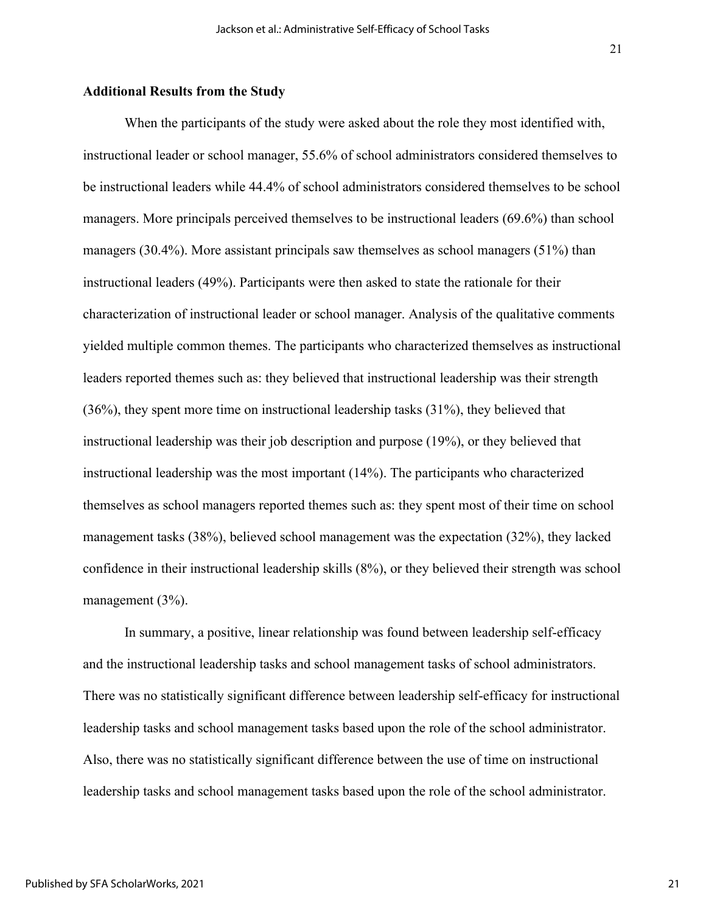#### **Additional Results from the Study**

When the participants of the study were asked about the role they most identified with, instructional leader or school manager, 55.6% of school administrators considered themselves to be instructional leaders while 44.4% of school administrators considered themselves to be school managers. More principals perceived themselves to be instructional leaders (69.6%) than school managers (30.4%). More assistant principals saw themselves as school managers (51%) than instructional leaders (49%). Participants were then asked to state the rationale for their characterization of instructional leader or school manager. Analysis of the qualitative comments yielded multiple common themes. The participants who characterized themselves as instructional leaders reported themes such as: they believed that instructional leadership was their strength (36%), they spent more time on instructional leadership tasks (31%), they believed that instructional leadership was their job description and purpose (19%), or they believed that instructional leadership was the most important (14%). The participants who characterized themselves as school managers reported themes such as: they spent most of their time on school management tasks (38%), believed school management was the expectation (32%), they lacked confidence in their instructional leadership skills (8%), or they believed their strength was school management (3%).

In summary, a positive, linear relationship was found between leadership self-efficacy and the instructional leadership tasks and school management tasks of school administrators. There was no statistically significant difference between leadership self-efficacy for instructional leadership tasks and school management tasks based upon the role of the school administrator. Also, there was no statistically significant difference between the use of time on instructional leadership tasks and school management tasks based upon the role of the school administrator.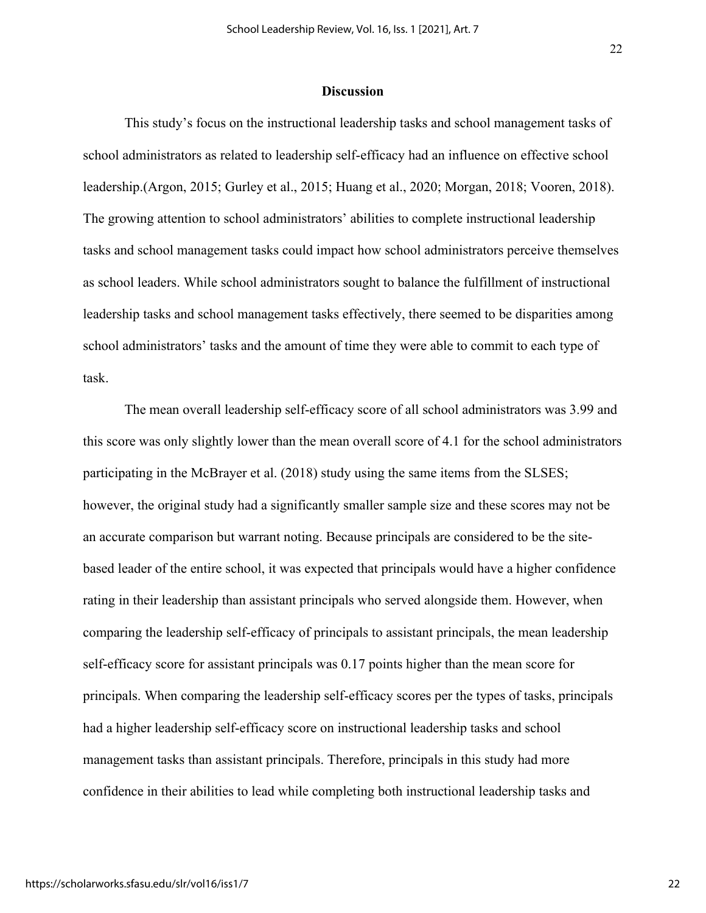#### **Discussion**

This study's focus on the instructional leadership tasks and school management tasks of school administrators as related to leadership self-efficacy had an influence on effective school leadership.(Argon, 2015; Gurley et al., 2015; Huang et al., 2020; Morgan, 2018; Vooren, 2018). The growing attention to school administrators' abilities to complete instructional leadership tasks and school management tasks could impact how school administrators perceive themselves as school leaders. While school administrators sought to balance the fulfillment of instructional leadership tasks and school management tasks effectively, there seemed to be disparities among school administrators' tasks and the amount of time they were able to commit to each type of task.

The mean overall leadership self-efficacy score of all school administrators was 3.99 and this score was only slightly lower than the mean overall score of 4.1 for the school administrators participating in the McBrayer et al. (2018) study using the same items from the SLSES; however, the original study had a significantly smaller sample size and these scores may not be an accurate comparison but warrant noting. Because principals are considered to be the sitebased leader of the entire school, it was expected that principals would have a higher confidence rating in their leadership than assistant principals who served alongside them. However, when comparing the leadership self-efficacy of principals to assistant principals, the mean leadership self-efficacy score for assistant principals was 0.17 points higher than the mean score for principals. When comparing the leadership self-efficacy scores per the types of tasks, principals had a higher leadership self-efficacy score on instructional leadership tasks and school management tasks than assistant principals. Therefore, principals in this study had more confidence in their abilities to lead while completing both instructional leadership tasks and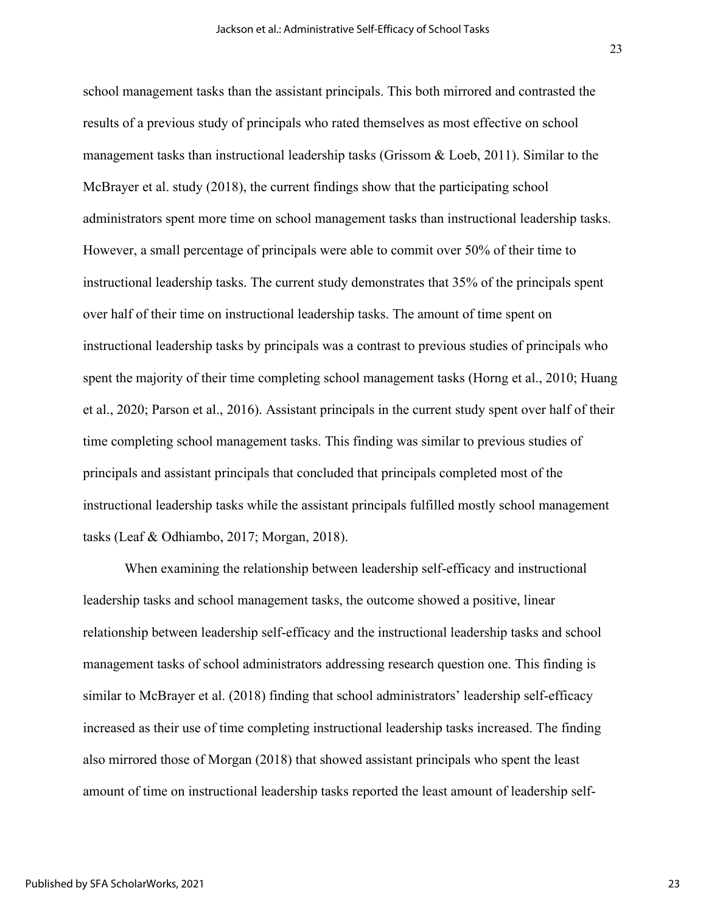school management tasks than the assistant principals. This both mirrored and contrasted the results of a previous study of principals who rated themselves as most effective on school management tasks than instructional leadership tasks (Grissom & Loeb, 2011). Similar to the McBrayer et al. study (2018), the current findings show that the participating school administrators spent more time on school management tasks than instructional leadership tasks. However, a small percentage of principals were able to commit over 50% of their time to instructional leadership tasks. The current study demonstrates that 35% of the principals spent over half of their time on instructional leadership tasks. The amount of time spent on instructional leadership tasks by principals was a contrast to previous studies of principals who spent the majority of their time completing school management tasks (Horng et al., 2010; Huang et al., 2020; Parson et al., 2016). Assistant principals in the current study spent over half of their time completing school management tasks. This finding was similar to previous studies of principals and assistant principals that concluded that principals completed most of the instructional leadership tasks while the assistant principals fulfilled mostly school management tasks (Leaf & Odhiambo, 2017; Morgan, 2018).

When examining the relationship between leadership self-efficacy and instructional leadership tasks and school management tasks, the outcome showed a positive, linear relationship between leadership self-efficacy and the instructional leadership tasks and school management tasks of school administrators addressing research question one. This finding is similar to McBrayer et al. (2018) finding that school administrators' leadership self-efficacy increased as their use of time completing instructional leadership tasks increased. The finding also mirrored those of Morgan (2018) that showed assistant principals who spent the least amount of time on instructional leadership tasks reported the least amount of leadership self-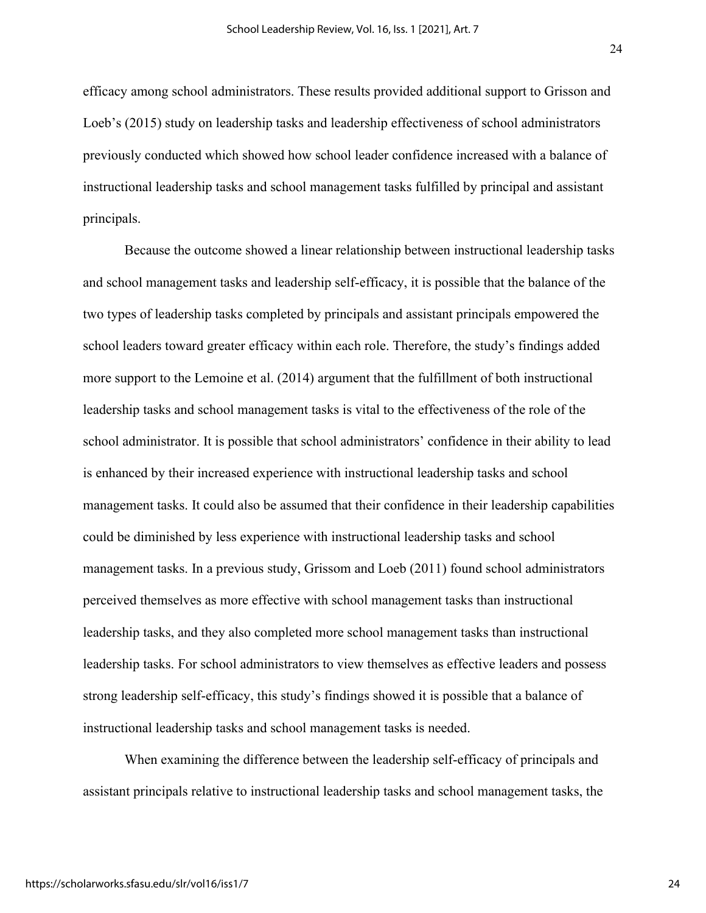efficacy among school administrators. These results provided additional support to Grisson and Loeb's (2015) study on leadership tasks and leadership effectiveness of school administrators previously conducted which showed how school leader confidence increased with a balance of instructional leadership tasks and school management tasks fulfilled by principal and assistant principals.

Because the outcome showed a linear relationship between instructional leadership tasks and school management tasks and leadership self-efficacy, it is possible that the balance of the two types of leadership tasks completed by principals and assistant principals empowered the school leaders toward greater efficacy within each role. Therefore, the study's findings added more support to the Lemoine et al. (2014) argument that the fulfillment of both instructional leadership tasks and school management tasks is vital to the effectiveness of the role of the school administrator. It is possible that school administrators' confidence in their ability to lead is enhanced by their increased experience with instructional leadership tasks and school management tasks. It could also be assumed that their confidence in their leadership capabilities could be diminished by less experience with instructional leadership tasks and school management tasks. In a previous study, Grissom and Loeb (2011) found school administrators perceived themselves as more effective with school management tasks than instructional leadership tasks, and they also completed more school management tasks than instructional leadership tasks. For school administrators to view themselves as effective leaders and possess strong leadership self-efficacy, this study's findings showed it is possible that a balance of instructional leadership tasks and school management tasks is needed.

When examining the difference between the leadership self-efficacy of principals and assistant principals relative to instructional leadership tasks and school management tasks, the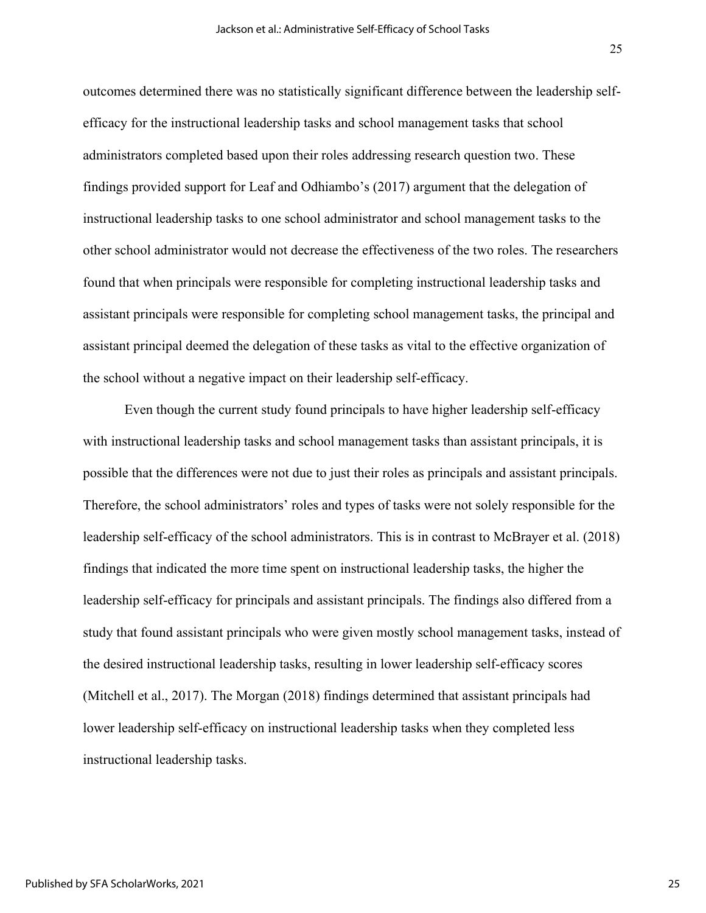outcomes determined there was no statistically significant difference between the leadership selfefficacy for the instructional leadership tasks and school management tasks that school administrators completed based upon their roles addressing research question two. These findings provided support for Leaf and Odhiambo's (2017) argument that the delegation of instructional leadership tasks to one school administrator and school management tasks to the other school administrator would not decrease the effectiveness of the two roles. The researchers found that when principals were responsible for completing instructional leadership tasks and assistant principals were responsible for completing school management tasks, the principal and assistant principal deemed the delegation of these tasks as vital to the effective organization of the school without a negative impact on their leadership self-efficacy.

Even though the current study found principals to have higher leadership self-efficacy with instructional leadership tasks and school management tasks than assistant principals, it is possible that the differences were not due to just their roles as principals and assistant principals. Therefore, the school administrators' roles and types of tasks were not solely responsible for the leadership self-efficacy of the school administrators. This is in contrast to McBrayer et al. (2018) findings that indicated the more time spent on instructional leadership tasks, the higher the leadership self-efficacy for principals and assistant principals. The findings also differed from a study that found assistant principals who were given mostly school management tasks, instead of the desired instructional leadership tasks, resulting in lower leadership self-efficacy scores (Mitchell et al., 2017). The Morgan (2018) findings determined that assistant principals had lower leadership self-efficacy on instructional leadership tasks when they completed less instructional leadership tasks.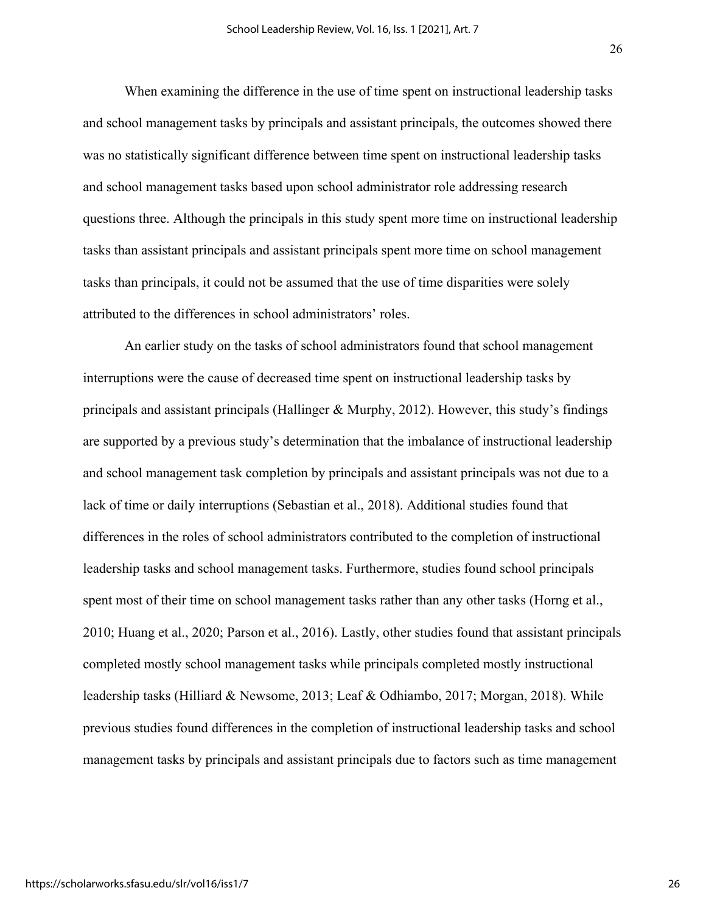When examining the difference in the use of time spent on instructional leadership tasks and school management tasks by principals and assistant principals, the outcomes showed there was no statistically significant difference between time spent on instructional leadership tasks and school management tasks based upon school administrator role addressing research questions three. Although the principals in this study spent more time on instructional leadership tasks than assistant principals and assistant principals spent more time on school management tasks than principals, it could not be assumed that the use of time disparities were solely attributed to the differences in school administrators' roles.

An earlier study on the tasks of school administrators found that school management interruptions were the cause of decreased time spent on instructional leadership tasks by principals and assistant principals (Hallinger & Murphy, 2012). However, this study's findings are supported by a previous study's determination that the imbalance of instructional leadership and school management task completion by principals and assistant principals was not due to a lack of time or daily interruptions (Sebastian et al., 2018). Additional studies found that differences in the roles of school administrators contributed to the completion of instructional leadership tasks and school management tasks. Furthermore, studies found school principals spent most of their time on school management tasks rather than any other tasks (Horng et al., 2010; Huang et al., 2020; Parson et al., 2016). Lastly, other studies found that assistant principals completed mostly school management tasks while principals completed mostly instructional leadership tasks (Hilliard & Newsome, 2013; Leaf & Odhiambo, 2017; Morgan, 2018). While previous studies found differences in the completion of instructional leadership tasks and school management tasks by principals and assistant principals due to factors such as time management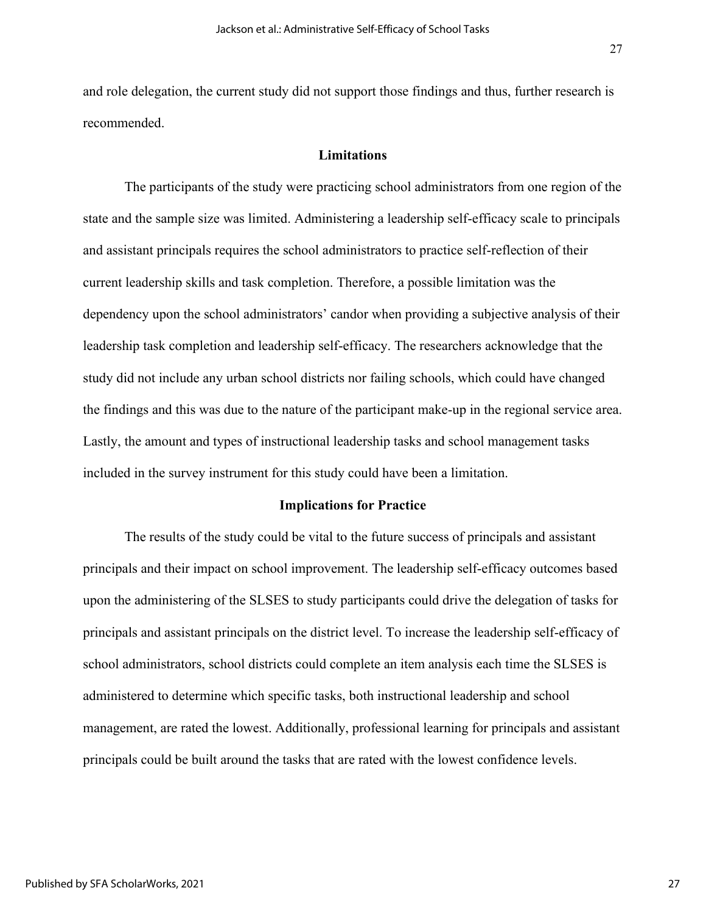27

recommended.

#### **Limitations**

The participants of the study were practicing school administrators from one region of the state and the sample size was limited. Administering a leadership self-efficacy scale to principals and assistant principals requires the school administrators to practice self-reflection of their current leadership skills and task completion. Therefore, a possible limitation was the dependency upon the school administrators' candor when providing a subjective analysis of their leadership task completion and leadership self-efficacy. The researchers acknowledge that the study did not include any urban school districts nor failing schools, which could have changed the findings and this was due to the nature of the participant make-up in the regional service area. Lastly, the amount and types of instructional leadership tasks and school management tasks included in the survey instrument for this study could have been a limitation.

#### **Implications for Practice**

The results of the study could be vital to the future success of principals and assistant principals and their impact on school improvement. The leadership self-efficacy outcomes based upon the administering of the SLSES to study participants could drive the delegation of tasks for principals and assistant principals on the district level. To increase the leadership self-efficacy of school administrators, school districts could complete an item analysis each time the SLSES is administered to determine which specific tasks, both instructional leadership and school management, are rated the lowest. Additionally, professional learning for principals and assistant principals could be built around the tasks that are rated with the lowest confidence levels.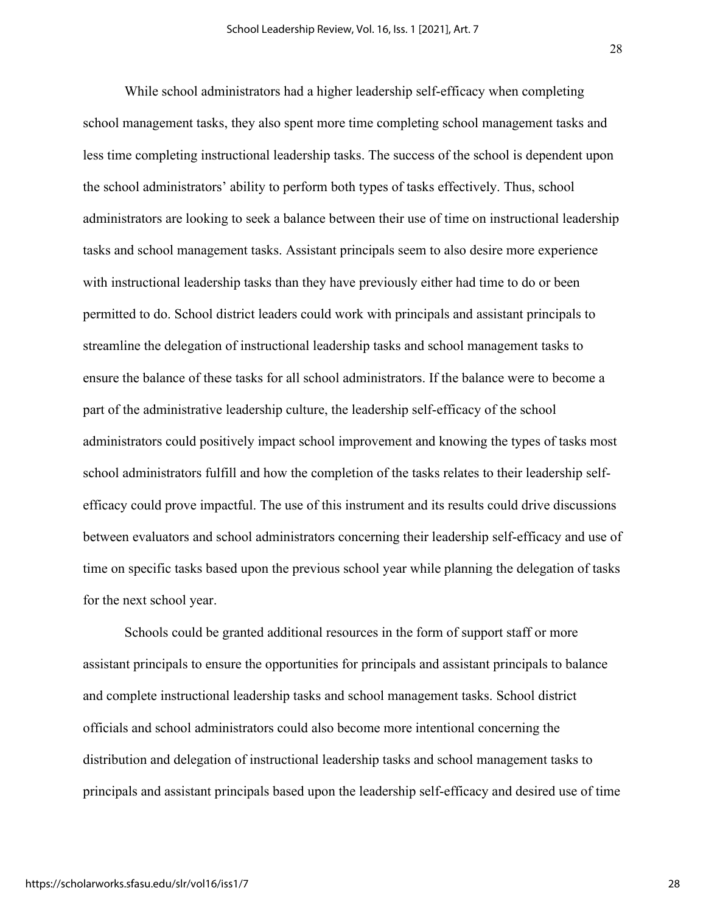While school administrators had a higher leadership self-efficacy when completing school management tasks, they also spent more time completing school management tasks and less time completing instructional leadership tasks. The success of the school is dependent upon the school administrators' ability to perform both types of tasks effectively. Thus, school administrators are looking to seek a balance between their use of time on instructional leadership tasks and school management tasks. Assistant principals seem to also desire more experience with instructional leadership tasks than they have previously either had time to do or been permitted to do. School district leaders could work with principals and assistant principals to streamline the delegation of instructional leadership tasks and school management tasks to ensure the balance of these tasks for all school administrators. If the balance were to become a part of the administrative leadership culture, the leadership self-efficacy of the school administrators could positively impact school improvement and knowing the types of tasks most school administrators fulfill and how the completion of the tasks relates to their leadership selfefficacy could prove impactful. The use of this instrument and its results could drive discussions between evaluators and school administrators concerning their leadership self-efficacy and use of time on specific tasks based upon the previous school year while planning the delegation of tasks for the next school year.

Schools could be granted additional resources in the form of support staff or more assistant principals to ensure the opportunities for principals and assistant principals to balance and complete instructional leadership tasks and school management tasks. School district officials and school administrators could also become more intentional concerning the distribution and delegation of instructional leadership tasks and school management tasks to principals and assistant principals based upon the leadership self-efficacy and desired use of time

https://scholarworks.sfasu.edu/slr/vol16/iss1/7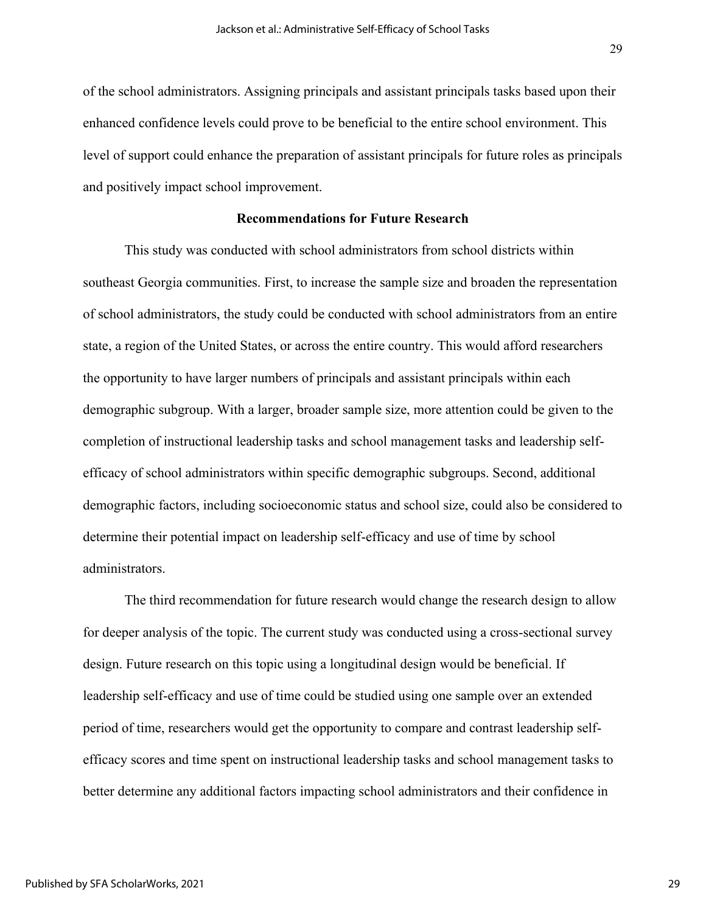of the school administrators. Assigning principals and assistant principals tasks based upon their enhanced confidence levels could prove to be beneficial to the entire school environment. This level of support could enhance the preparation of assistant principals for future roles as principals and positively impact school improvement.

### **Recommendations for Future Research**

This study was conducted with school administrators from school districts within southeast Georgia communities. First, to increase the sample size and broaden the representation of school administrators, the study could be conducted with school administrators from an entire state, a region of the United States, or across the entire country. This would afford researchers the opportunity to have larger numbers of principals and assistant principals within each demographic subgroup. With a larger, broader sample size, more attention could be given to the completion of instructional leadership tasks and school management tasks and leadership selfefficacy of school administrators within specific demographic subgroups. Second, additional demographic factors, including socioeconomic status and school size, could also be considered to determine their potential impact on leadership self-efficacy and use of time by school administrators.

The third recommendation for future research would change the research design to allow for deeper analysis of the topic. The current study was conducted using a cross-sectional survey design. Future research on this topic using a longitudinal design would be beneficial. If leadership self-efficacy and use of time could be studied using one sample over an extended period of time, researchers would get the opportunity to compare and contrast leadership selfefficacy scores and time spent on instructional leadership tasks and school management tasks to better determine any additional factors impacting school administrators and their confidence in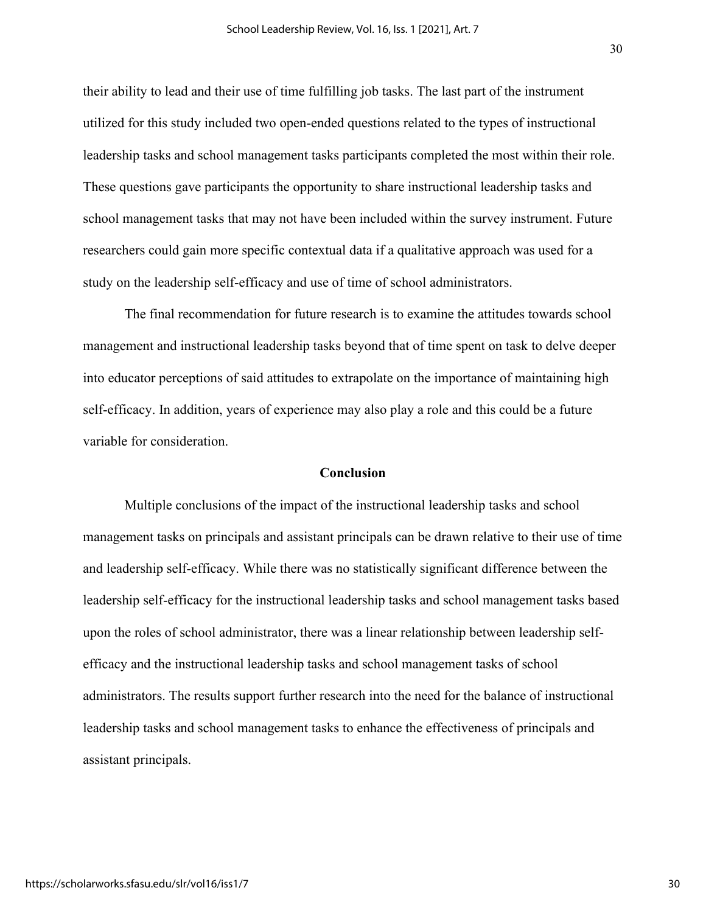their ability to lead and their use of time fulfilling job tasks. The last part of the instrument utilized for this study included two open-ended questions related to the types of instructional leadership tasks and school management tasks participants completed the most within their role. These questions gave participants the opportunity to share instructional leadership tasks and school management tasks that may not have been included within the survey instrument. Future researchers could gain more specific contextual data if a qualitative approach was used for a study on the leadership self-efficacy and use of time of school administrators.

The final recommendation for future research is to examine the attitudes towards school management and instructional leadership tasks beyond that of time spent on task to delve deeper into educator perceptions of said attitudes to extrapolate on the importance of maintaining high self-efficacy. In addition, years of experience may also play a role and this could be a future variable for consideration.

#### **Conclusion**

Multiple conclusions of the impact of the instructional leadership tasks and school management tasks on principals and assistant principals can be drawn relative to their use of time and leadership self-efficacy. While there was no statistically significant difference between the leadership self-efficacy for the instructional leadership tasks and school management tasks based upon the roles of school administrator, there was a linear relationship between leadership selfefficacy and the instructional leadership tasks and school management tasks of school administrators. The results support further research into the need for the balance of instructional leadership tasks and school management tasks to enhance the effectiveness of principals and assistant principals.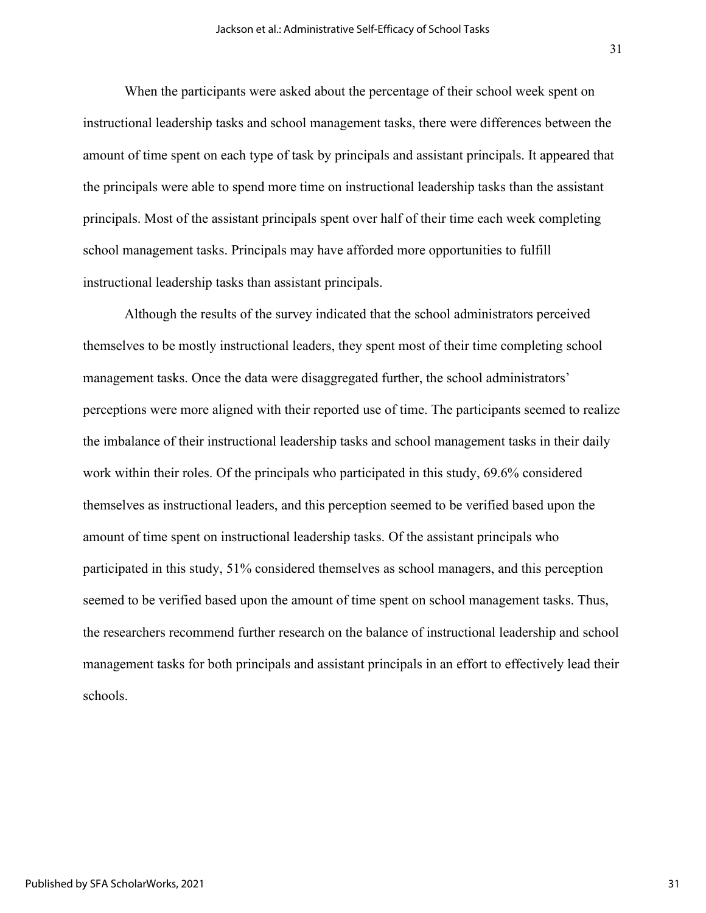When the participants were asked about the percentage of their school week spent on instructional leadership tasks and school management tasks, there were differences between the amount of time spent on each type of task by principals and assistant principals. It appeared that the principals were able to spend more time on instructional leadership tasks than the assistant principals. Most of the assistant principals spent over half of their time each week completing school management tasks. Principals may have afforded more opportunities to fulfill instructional leadership tasks than assistant principals.

Although the results of the survey indicated that the school administrators perceived themselves to be mostly instructional leaders, they spent most of their time completing school management tasks. Once the data were disaggregated further, the school administrators' perceptions were more aligned with their reported use of time. The participants seemed to realize the imbalance of their instructional leadership tasks and school management tasks in their daily work within their roles. Of the principals who participated in this study, 69.6% considered themselves as instructional leaders, and this perception seemed to be verified based upon the amount of time spent on instructional leadership tasks. Of the assistant principals who participated in this study, 51% considered themselves as school managers, and this perception seemed to be verified based upon the amount of time spent on school management tasks. Thus, the researchers recommend further research on the balance of instructional leadership and school management tasks for both principals and assistant principals in an effort to effectively lead their schools.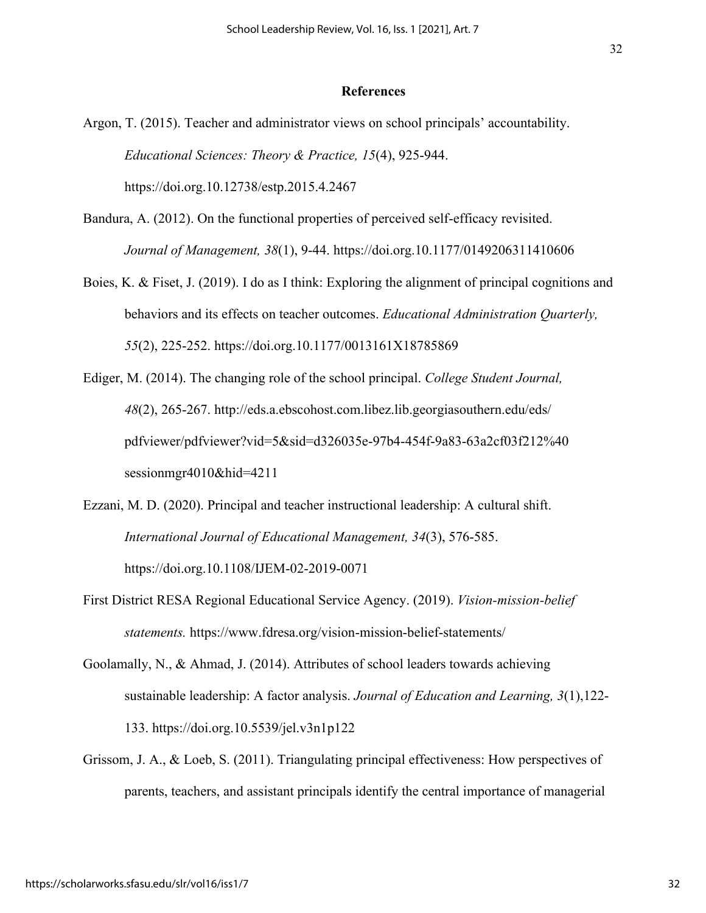#### **References**

- Argon, T. (2015). Teacher and administrator views on school principals' accountability. *Educational Sciences: Theory & Practice, 15*(4), 925-944. https://doi.org.10.12738/estp.2015.4.2467
- Bandura, A. (2012). On the functional properties of perceived self-efficacy revisited. *Journal of Management, 38*(1), 9-44. https://doi.org.10.1177/0149206311410606
- Boies, K. & Fiset, J. (2019). I do as I think: Exploring the alignment of principal cognitions and behaviors and its effects on teacher outcomes. *Educational Administration Quarterly, 55*(2), 225-252. https://doi.org.10.1177/0013161X18785869
- Ediger, M. (2014). The changing role of the school principal. *College Student Journal, 48*(2), 265-267. http://eds.a.ebscohost.com.libez.lib.georgiasouthern.edu/eds/ pdfviewer/pdfviewer?vid=5&sid=d326035e-97b4-454f-9a83-63a2cf03f212%40 sessionmgr4010&hid=4211
- Ezzani, M. D. (2020). Principal and teacher instructional leadership: A cultural shift. *International Journal of Educational Management, 34*(3), 576-585. https://doi.org.10.1108/IJEM-02-2019-0071
- First District RESA Regional Educational Service Agency. (2019). *Vision-mission-belief statements.* https://www.fdresa.org/vision-mission-belief-statements/
- Goolamally, N., & Ahmad, J. (2014). Attributes of school leaders towards achieving sustainable leadership: A factor analysis. *Journal of Education and Learning, 3*(1),122- 133. https://doi.org.10.5539/jel.v3n1p122
- Grissom, J. A., & Loeb, S. (2011). Triangulating principal effectiveness: How perspectives of parents, teachers, and assistant principals identify the central importance of managerial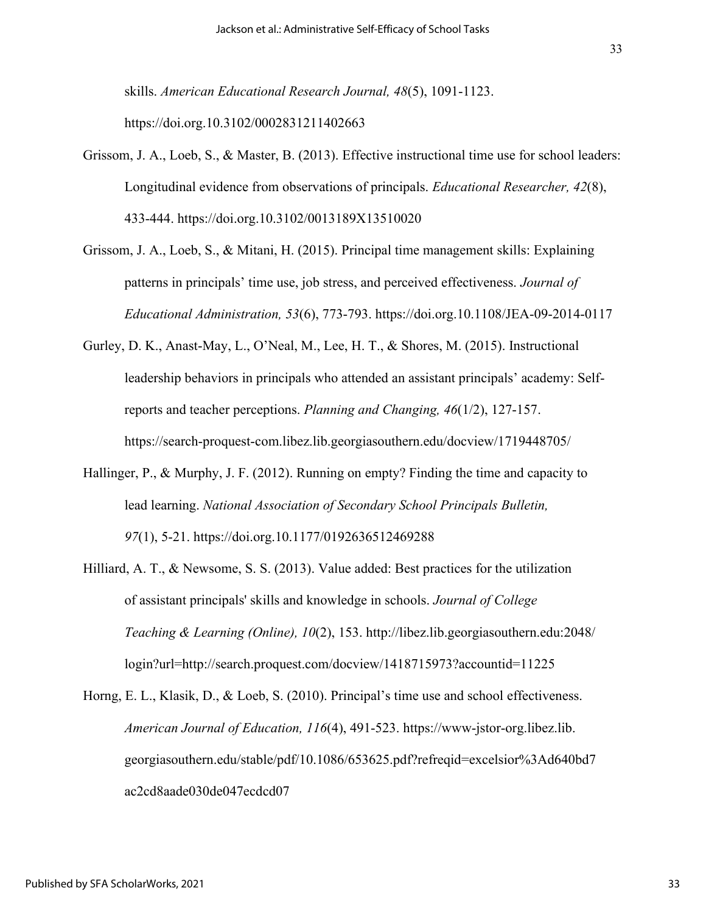skills. *American Educational Research Journal, 48*(5), 1091-1123. https://doi.org.10.3102/0002831211402663

- Grissom, J. A., Loeb, S., & Master, B. (2013). Effective instructional time use for school leaders: Longitudinal evidence from observations of principals. *Educational Researcher, 42*(8), 433-444. https://doi.org.10.3102/0013189X13510020
- Grissom, J. A., Loeb, S., & Mitani, H. (2015). Principal time management skills: Explaining patterns in principals' time use, job stress, and perceived effectiveness. *Journal of Educational Administration, 53*(6), 773-793. https://doi.org.10.1108/JEA-09-2014-0117
- Gurley, D. K., Anast-May, L., O'Neal, M., Lee, H. T., & Shores, M. (2015). Instructional leadership behaviors in principals who attended an assistant principals' academy: Selfreports and teacher perceptions. *Planning and Changing, 46*(1/2), 127-157. https://search-proquest-com.libez.lib.georgiasouthern.edu/docview/1719448705/
- Hallinger, P., & Murphy, J. F. (2012). Running on empty? Finding the time and capacity to lead learning. *National Association of Secondary School Principals Bulletin, 97*(1), 5-21. https://doi.org.10.1177/0192636512469288
- Hilliard, A. T., & Newsome, S. S. (2013). Value added: Best practices for the utilization of assistant principals' skills and knowledge in schools. *Journal of College Teaching & Learning (Online), 10*(2), 153. http://libez.lib.georgiasouthern.edu:2048/ login?url=http://search.proquest.com/docview/1418715973?accountid=11225
- Horng, E. L., Klasik, D., & Loeb, S. (2010). Principal's time use and school effectiveness. *American Journal of Education, 116*(4), 491-523. https://www-jstor-org.libez.lib. georgiasouthern.edu/stable/pdf/10.1086/653625.pdf?refreqid=excelsior%3Ad640bd7 ac2cd8aade030de047ecdcd07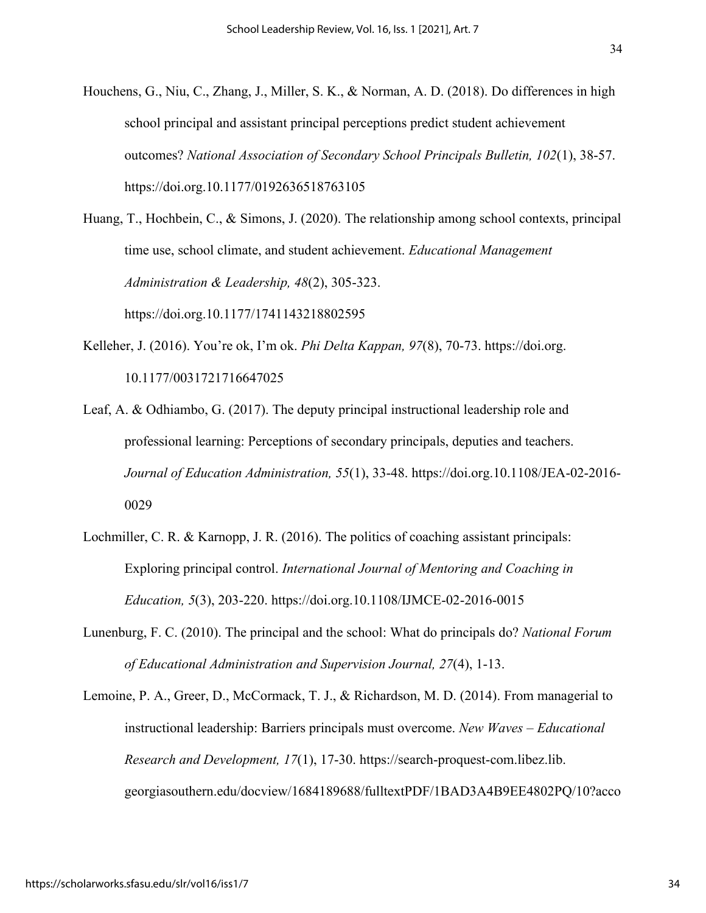Houchens, G., Niu, C., Zhang, J., Miller, S. K., & Norman, A. D. (2018). Do differences in high school principal and assistant principal perceptions predict student achievement

outcomes? *National Association of Secondary School Principals Bulletin, 102*(1), 38-57. https://doi.org.10.1177/0192636518763105

Huang, T., Hochbein, C., & Simons, J. (2020). The relationship among school contexts, principal time use, school climate, and student achievement. *Educational Management Administration & Leadership, 48*(2), 305-323. https://doi.org.10.1177/1741143218802595

- Kelleher, J. (2016). You're ok, I'm ok. *Phi Delta Kappan, 97*(8), 70-73. https://doi.org. 10.1177/0031721716647025
- Leaf, A. & Odhiambo, G. (2017). The deputy principal instructional leadership role and professional learning: Perceptions of secondary principals, deputies and teachers. *Journal of Education Administration, 55*(1), 33-48. https://doi.org.10.1108/JEA-02-2016- 0029
- Lochmiller, C. R. & Karnopp, J. R. (2016). The politics of coaching assistant principals: Exploring principal control. *International Journal of Mentoring and Coaching in Education, 5*(3), 203-220. https://doi.org.10.1108/IJMCE-02-2016-0015
- Lunenburg, F. C. (2010). The principal and the school: What do principals do? *National Forum of Educational Administration and Supervision Journal, 27*(4), 1-13.

Lemoine, P. A., Greer, D., McCormack, T. J., & Richardson, M. D. (2014). From managerial to instructional leadership: Barriers principals must overcome. *New Waves – Educational Research and Development, 17*(1), 17-30. https://search-proquest-com.libez.lib. georgiasouthern.edu/docview/1684189688/fulltextPDF/1BAD3A4B9EE4802PQ/10?acco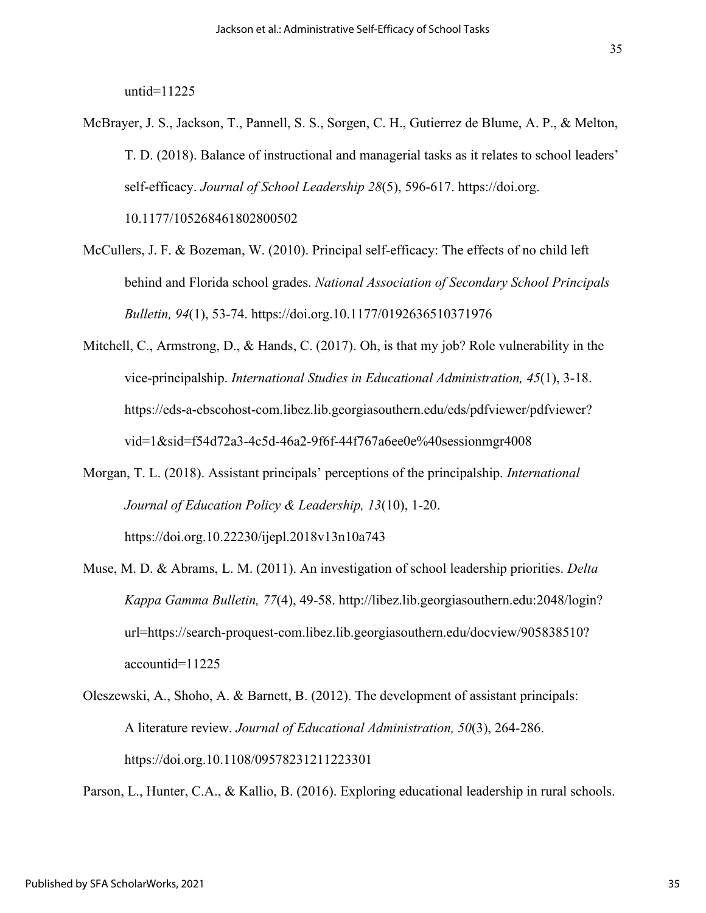untid=11225

- McBrayer, J. S., Jackson, T., Pannell, S. S., Sorgen, C. H., Gutierrez de Blume, A. P., & Melton, T. D. (2018). Balance of instructional and managerial tasks as it relates to school leaders' self-efficacy. *Journal of School Leadership 28*(5), 596-617. https://doi.org. 10.1177/105268461802800502
- McCullers, J. F. & Bozeman, W. (2010). Principal self-efficacy: The effects of no child left behind and Florida school grades. *National Association of Secondary School Principals Bulletin, 94*(1), 53-74. https://doi.org.10.1177/0192636510371976
- Mitchell, C., Armstrong, D., & Hands, C. (2017). Oh, is that my job? Role vulnerability in the vice-principalship. *International Studies in Educational Administration, 45*(1), 3-18. https://eds-a-ebscohost-com.libez.lib.georgiasouthern.edu/eds/pdfviewer/pdfviewer? vid=1&sid=f54d72a3-4c5d-46a2-9f6f-44f767a6ee0e%40sessionmgr4008
- Morgan, T. L. (2018). Assistant principals' perceptions of the principalship. *International Journal of Education Policy & Leadership, 13*(10), 1-20. https://doi.org.10.22230/ijepl.2018v13n10a743
- Muse, M. D. & Abrams, L. M. (2011). An investigation of school leadership priorities. *Delta Kappa Gamma Bulletin, 77*(4), 49-58. http://libez.lib.georgiasouthern.edu:2048/login? url=https://search-proquest-com.libez.lib.georgiasouthern.edu/docview/905838510? accountid=11225
- Oleszewski, A., Shoho, A. & Barnett, B. (2012). The development of assistant principals: A literature review. *Journal of Educational Administration, 50*(3), 264-286. https://doi.org.10.1108/09578231211223301

Parson, L., Hunter, C.A., & Kallio, B. (2016). Exploring educational leadership in rural schools.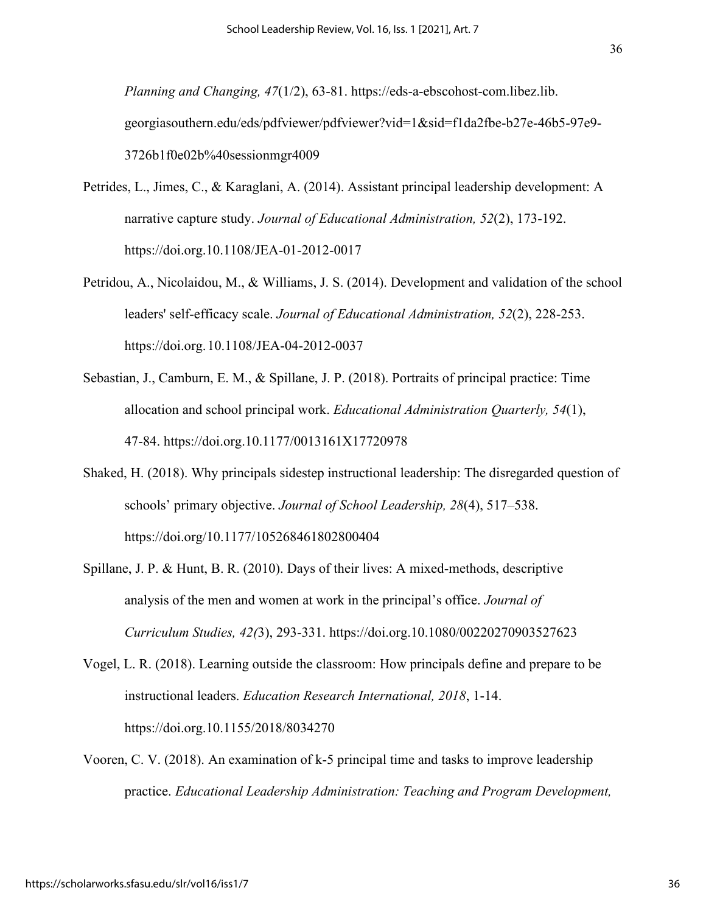*Planning and Changing, 47*(1/2), 63-81. https://eds-a-ebscohost-com.libez.lib. georgiasouthern.edu/eds/pdfviewer/pdfviewer?vid=1&sid=f1da2fbe-b27e-46b5-97e9- 3726b1f0e02b%40sessionmgr4009

- Petrides, L., Jimes, C., & Karaglani, A. (2014). Assistant principal leadership development: A narrative capture study. *Journal of Educational Administration, 52*(2), 173-192. https://doi.org.10.1108/JEA-01-2012-0017
- Petridou, A., Nicolaidou, M., & Williams, J. S. (2014). Development and validation of the school leaders' self-efficacy scale. *Journal of Educational Administration, 52*(2), 228-253. https://doi.org.10.1108/JEA-04-2012-0037
- Sebastian, J., Camburn, E. M., & Spillane, J. P. (2018). Portraits of principal practice: Time allocation and school principal work. *Educational Administration Quarterly, 54*(1), 47-84. https://doi.org.10.1177/0013161X17720978
- Shaked, H. (2018). Why principals sidestep instructional leadership: The disregarded question of schools' primary objective. *Journal of School Leadership, 28*(4), 517–538. https://doi.org/10.1177/105268461802800404
- Spillane, J. P. & Hunt, B. R. (2010). Days of their lives: A mixed-methods, descriptive analysis of the men and women at work in the principal's office. *Journal of Curriculum Studies, 42(*3), 293-331. https://doi.org.10.1080/00220270903527623
- Vogel, L. R. (2018). Learning outside the classroom: How principals define and prepare to be instructional leaders. *Education Research International, 2018*, 1-14. https://doi.org.10.1155/2018/8034270
- Vooren, C. V. (2018). An examination of k-5 principal time and tasks to improve leadership practice. *Educational Leadership Administration: Teaching and Program Development,*